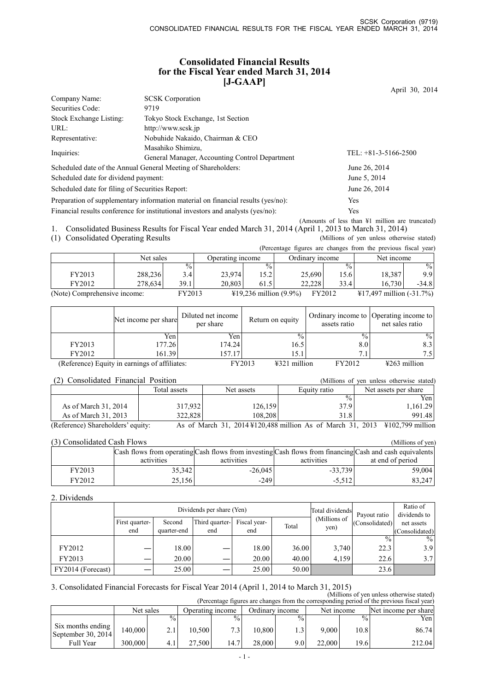# **Consolidated Financial Results for the Fiscal Year ended March 31, 2014 [J-GAAP]**

April 30, 2014

| Company Name:                                   | <b>SCSK</b> Corporation                                                          |                                                            |
|-------------------------------------------------|----------------------------------------------------------------------------------|------------------------------------------------------------|
| Securities Code:                                | 9719                                                                             |                                                            |
| Stock Exchange Listing:                         | Tokyo Stock Exchange, 1st Section                                                |                                                            |
| URL:                                            | http://www.scsk.jp                                                               |                                                            |
| Representative:                                 | Nobuhide Nakaido, Chairman & CEO                                                 |                                                            |
| Inquiries:                                      | Masahiko Shimizu,                                                                | TEL: $+81-3-5166-2500$                                     |
|                                                 | General Manager, Accounting Control Department                                   |                                                            |
|                                                 | Scheduled date of the Annual General Meeting of Shareholders:                    | June 26, 2014                                              |
| Scheduled date for dividend payment:            |                                                                                  | June 5, 2014                                               |
| Scheduled date for filing of Securities Report: |                                                                                  | June 26, 2014                                              |
|                                                 | Preparation of supplementary information material on financial results (yes/no): | Yes                                                        |
|                                                 | Financial results conference for institutional investors and analysts (yes/no):  | <b>Yes</b>                                                 |
|                                                 |                                                                                  | (Amounts of less than $\frac{1}{2}$ million are truncated) |

1. Consolidated Business Results for Fiscal Year ended March 31, 2014 (April 1, 2013 to March 31, 2014)<br>(1) Consolidated Operating Results (Millions of yen unless otherwise stated)

(1) Consolidated Operating Results

(Percentage figures are changes from the previous fiscal year)

|                              | Net sales |               | Operating income |                                  | Ordinary income |                 | Net income                         |               |  |
|------------------------------|-----------|---------------|------------------|----------------------------------|-----------------|-----------------|------------------------------------|---------------|--|
|                              |           | $^{0}/_{0}$ , |                  | $\frac{0}{0}$                    |                 | $\frac{0}{0}$ . |                                    | $\frac{0}{0}$ |  |
| FY2013                       | 288.236   | 3.4           | 23,974           | $15.2^{\circ}$                   | 25,690          | 15.6            | 18,387                             | 9.91          |  |
| FY2012                       | 278.634   | 39.1          | 20.803           | 61.5                             | 22.228          | 33.4            | 16.730                             | $-34.8$       |  |
| (Note) Comprehensive income: |           | FY2013        |                  | $\text{\#19,236}$ million (9.9%) |                 | FY2012          | $\text{\#}17,497$ million (-31.7%) |               |  |

|        | Net income per share                          | Diluted net income<br>per share | Return on equity                 | assets ratio  | Ordinary income to Operating income to<br>net sales ratio |
|--------|-----------------------------------------------|---------------------------------|----------------------------------|---------------|-----------------------------------------------------------|
|        | Yen                                           | Yen                             | $\frac{0}{0}$                    | $\frac{0}{0}$ | $\frac{0}{0}$                                             |
| FY2013 | $177.26$ <sup>1</sup>                         | 174.24                          | 16.5                             | 8.0           | 8.3                                                       |
| FY2012 | 161.39                                        | 157.17                          | 15.1                             | ⇁             | 7.5                                                       |
|        | (Reference) Equity in earnings of affiliates: |                                 | FY2013<br>$\text{\#321}$ million | FY2012        | $\frac{1263}{2}$ million                                  |

| (2) Consolidated Financial Position |              |            | (Millions of yen unless otherwise stated) |                                                                             |
|-------------------------------------|--------------|------------|-------------------------------------------|-----------------------------------------------------------------------------|
|                                     | Total assets | Net assets | Equity ratio                              | Net assets per share                                                        |
|                                     |              |            | $\frac{0}{0}$                             | Yen                                                                         |
| As of March 31, 2014                | 317,932      | 126.159    | 37.9                                      | 1,161.29                                                                    |
| As of March 31, 2013                | 322,828      | 108.208    | 31.8                                      | 991.48                                                                      |
| (Reference) Shareholders' equity:   |              |            |                                           | As of March 31, 2014 ¥120,488 million As of March 31, 2013 ¥102,799 million |

| (3) Consolidated Cash Flows<br>(Millions of yen) |                                                                                                         |            |            |                  |  |  |  |  |  |  |  |
|--------------------------------------------------|---------------------------------------------------------------------------------------------------------|------------|------------|------------------|--|--|--|--|--|--|--|
|                                                  | Cash flows from operating Cash flows from investing Cash flows from financing Cash and cash equivalents |            |            |                  |  |  |  |  |  |  |  |
|                                                  | activities                                                                                              | activities | activities | at end of period |  |  |  |  |  |  |  |
| FY2013                                           | 35,342                                                                                                  | $-26.045$  | $-33.739$  | 59.004           |  |  |  |  |  |  |  |
| FY2012                                           | 25,156                                                                                                  | $-249$     | $-5.512$   | 83,247           |  |  |  |  |  |  |  |

### 2. Dividends

|                   |                |             | Dividends per share (Yen) | Total dividends |       | Ratio of             |                                |                            |
|-------------------|----------------|-------------|---------------------------|-----------------|-------|----------------------|--------------------------------|----------------------------|
|                   | First quarter- | Second      | Third quarter-            | Fiscal year-    | Total | (Millions of<br>yen) | Payout ratio<br>(Consolidated) | dividends to<br>net assets |
|                   | end            | quarter-end | end                       | end             |       |                      |                                | (Consolidated)             |
|                   |                |             |                           |                 |       |                      | $\frac{0}{0}$                  | $\%$                       |
| FY2012            |                | 18.00       |                           | 18.00           | 36.00 | 3,740                | 22.3                           | 3.9                        |
| FY2013            |                | 20.00       |                           | 20.00           | 40.00 | 4.159                | 22.6                           | 3.7                        |
| FY2014 (Forecast) |                | 25.00       |                           | 25.00           | 50.00 |                      | 23.6                           |                            |

# 3. Consolidated Financial Forecasts for Fiscal Year 2014 (April 1, 2014 to March 31, 2015) (Millions of yen unless otherwise stated)

| uniliitud ol veil uliitse oliiti mist suuttu<br>(Percentage figures are changes from the corresponding period of the previous fiscal year) |           |                 |                                     |               |            |               |                      |               |  |        |
|--------------------------------------------------------------------------------------------------------------------------------------------|-----------|-----------------|-------------------------------------|---------------|------------|---------------|----------------------|---------------|--|--------|
|                                                                                                                                            | Net sales |                 | Ordinary income<br>Operating income |               | Net income |               | Net income per share |               |  |        |
|                                                                                                                                            |           | $\frac{0}{0}$ . |                                     | $\frac{0}{6}$ |            | $\frac{0}{0}$ |                      | $\frac{0}{0}$ |  | Yen    |
| Six months ending<br>September 30, 2014                                                                                                    | 140,000   |                 | 10.500                              | 7.31          | 10.800     |               | 9.000                | 10.8          |  | 86.74  |
| Full Year                                                                                                                                  | 300,000   |                 | 27.500                              | 14.7          | 28.000     | 9.0           | 22.000               | 19.6          |  | 212.04 |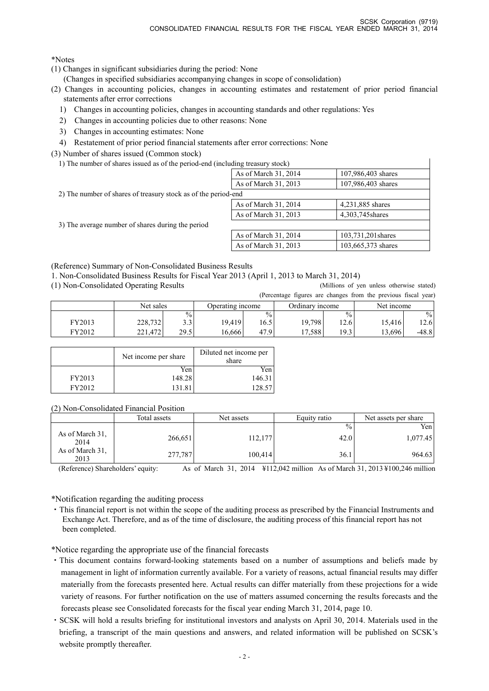\*Notes

(1) Changes in significant subsidiaries during the period: None

(Changes in specified subsidiaries accompanying changes in scope of consolidation)

- (2) Changes in accounting policies, changes in accounting estimates and restatement of prior period financial statements after error corrections
	- 1) Changes in accounting policies, changes in accounting standards and other regulations: Yes
	- 2) Changes in accounting policies due to other reasons: None
	- 3) Changes in accounting estimates: None
	- 4) Restatement of prior period financial statements after error corrections: None
- (3) Number of shares issued (Common stock)
	- 1) The number of shares issued as of the period-end (including treasury stock)

| The number of shares houred as of the period end (mentang treasury stock) |                      |                    |
|---------------------------------------------------------------------------|----------------------|--------------------|
|                                                                           | As of March 31, 2014 | 107,986,403 shares |
|                                                                           | As of March 31, 2013 | 107,986,403 shares |
| 2) The number of shares of treasury stock as of the period-end            |                      |                    |
|                                                                           | As of March 31, 2014 | 4,231,885 shares   |
|                                                                           | As of March 31, 2013 | 4,303,745 shares   |
| 3) The average number of shares during the period                         |                      |                    |
|                                                                           | As of March 31, 2014 | 103,731,201 shares |
|                                                                           | As of March 31, 2013 | 103,665,373 shares |
|                                                                           |                      |                    |

(Reference) Summary of Non-Consolidated Business Results

1. Non-Consolidated Business Results for Fiscal Year 2013 (April 1, 2013 to March 31, 2014)

(1) Non-Consolidated Operating Results (Millions of yen unless otherwise stated) (Percentage figures are changes from the previous fiscal year)

 $\overline{1}$ 

|        |           |               |                  |               |                 |               | $\mu$ credinage rightes are enanges from the previous fiscal year) |       |
|--------|-----------|---------------|------------------|---------------|-----------------|---------------|--------------------------------------------------------------------|-------|
|        | Net sales |               | Operating income |               | Ordinary income |               | Net income                                                         |       |
|        |           | $\frac{0}{0}$ |                  | $\frac{0}{0}$ |                 | $\frac{0}{0}$ |                                                                    | $\%$  |
| FY2013 | 228,732   | ຳາ<br>J.J     | 19.419           | 16.5          | 19,798          | 12.6          | 15,416                                                             | 12.6  |
| FY2012 | 221.472   | 29.5          | 16.666           | 47.9          | 17.588          | 19.31         | 13,696                                                             | -48.8 |

|        | Net income per share | Diluted net income per<br>share |
|--------|----------------------|---------------------------------|
|        | Yen                  | Yen                             |
| FY2013 | 148.28               | 146.31                          |
| FY2012 | 131.8                | 128.57                          |

(2) Non-Consolidated Financial Position

|                         | Total assets | Net assets | Equity ratio | Net assets per share |
|-------------------------|--------------|------------|--------------|----------------------|
|                         |              |            | $\%$         | Yen                  |
| As of March 31.<br>2014 | 266,651      | 112,177    | 42.0         | 1,077.45             |
| As of March 31.<br>2013 | 277,787      | 100,414    | 36.1         | 964.63               |

(Reference) Shareholders' equity: As of March 31, 2014 ¥112,042 million As of March 31, 2013 ¥100,246 million

\*Notification regarding the auditing process

・This financial report is not within the scope of the auditing process as prescribed by the Financial Instruments and Exchange Act. Therefore, and as of the time of disclosure, the auditing process of this financial report has not been completed.

\*Notice regarding the appropriate use of the financial forecasts

- ・This document contains forward-looking statements based on a number of assumptions and beliefs made by management in light of information currently available. For a variety of reasons, actual financial results may differ materially from the forecasts presented here. Actual results can differ materially from these projections for a wide variety of reasons. For further notification on the use of matters assumed concerning the results forecasts and the forecasts please see Consolidated forecasts for the fiscal year ending March 31, 2014, page 10.
- ・SCSK will hold a results briefing for institutional investors and analysts on April 30, 2014. Materials used in the briefing, a transcript of the main questions and answers, and related information will be published on SCSK's website promptly thereafter.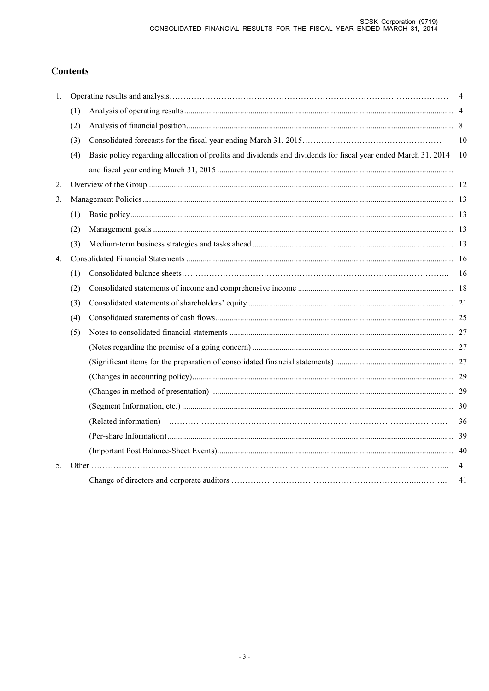# **Contents**

| 1.             |     |                                                                                                                  | 4  |
|----------------|-----|------------------------------------------------------------------------------------------------------------------|----|
|                | (1) |                                                                                                                  |    |
|                | (2) |                                                                                                                  |    |
|                | (3) |                                                                                                                  | 10 |
|                | (4) | Basic policy regarding allocation of profits and dividends and dividends for fiscal year ended March 31, 2014 10 |    |
| 2.             |     |                                                                                                                  |    |
| 3.             |     |                                                                                                                  |    |
|                | (1) |                                                                                                                  |    |
|                | (2) |                                                                                                                  |    |
|                | (3) |                                                                                                                  |    |
| $4_{\cdot}$    |     |                                                                                                                  |    |
|                | (1) |                                                                                                                  |    |
|                | (2) |                                                                                                                  |    |
|                | (3) |                                                                                                                  |    |
|                | (4) |                                                                                                                  |    |
|                | (5) |                                                                                                                  |    |
|                |     |                                                                                                                  |    |
|                |     |                                                                                                                  |    |
|                |     |                                                                                                                  |    |
|                |     |                                                                                                                  |    |
|                |     |                                                                                                                  |    |
|                |     |                                                                                                                  | 36 |
|                |     |                                                                                                                  |    |
|                |     |                                                                                                                  |    |
| 5 <sub>1</sub> |     |                                                                                                                  | 41 |
|                |     |                                                                                                                  | 41 |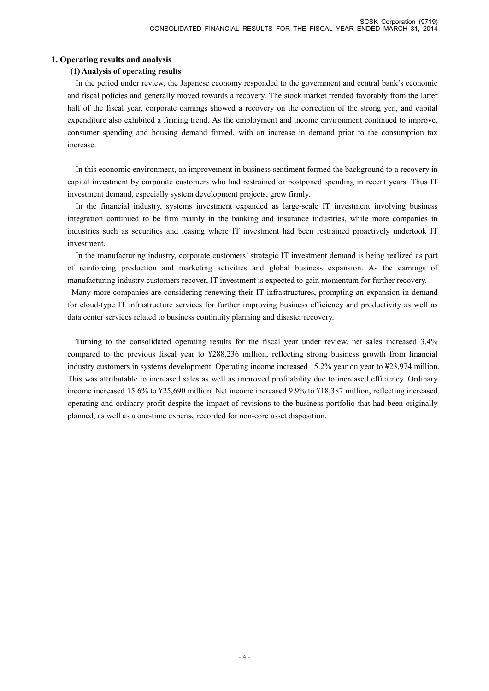# **1. Operating results and analysis**

# **(1) Analysis of operating results**

In the period under review, the Japanese economy responded to the government and central bank's economic and fiscal policies and generally moved towards a recovery. The stock market trended favorably from the latter half of the fiscal year, corporate earnings showed a recovery on the correction of the strong yen, and capital expenditure also exhibited a firming trend. As the employment and income environment continued to improve, consumer spending and housing demand firmed, with an increase in demand prior to the consumption tax increase.

In this economic environment, an improvement in business sentiment formed the background to a recovery in capital investment by corporate customers who had restrained or postponed spending in recent years. Thus IT investment demand, especially system development projects, grew firmly.

In the financial industry, systems investment expanded as large-scale IT investment involving business integration continued to be firm mainly in the banking and insurance industries, while more companies in industries such as securities and leasing where IT investment had been restrained proactively undertook IT investment.

In the manufacturing industry, corporate customers' strategic IT investment demand is being realized as part of reinforcing production and marketing activities and global business expansion. As the earnings of manufacturing industry customers recover, IT investment is expected to gain momentum for further recovery.

Many more companies are considering renewing their IT infrastructures, prompting an expansion in demand for cloud-type IT infrastructure services for further improving business efficiency and productivity as well as data center services related to business continuity planning and disaster recovery.

Turning to the consolidated operating results for the fiscal year under review, net sales increased 3.4% compared to the previous fiscal year to ¥288,236 million, reflecting strong business growth from financial industry customers in systems development. Operating income increased 15.2% year on year to ¥23,974 million. This was attributable to increased sales as well as improved profitability due to increased efficiency. Ordinary income increased 15.6% to ¥25,690 million. Net income increased 9.9% to ¥18,387 million, reflecting increased operating and ordinary profit despite the impact of revisions to the business portfolio that had been originally planned, as well as a one-time expense recorded for non-core asset disposition.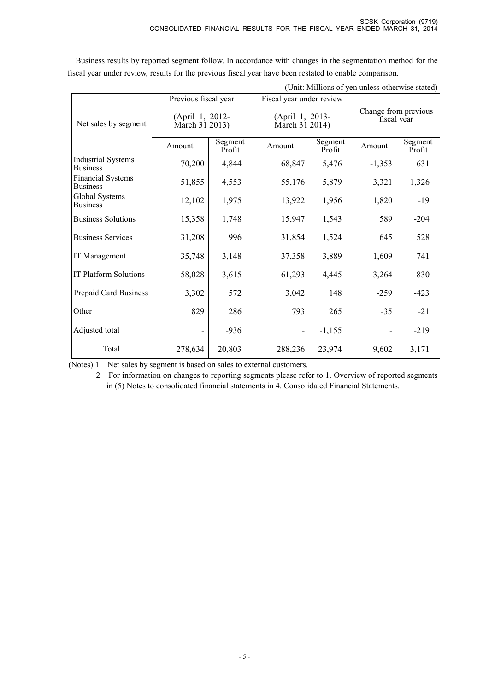| (Unit: Millions of yen unless otherwise stated) |                                   |                   |                          |                                   |          |                                     |  |
|-------------------------------------------------|-----------------------------------|-------------------|--------------------------|-----------------------------------|----------|-------------------------------------|--|
|                                                 | Previous fiscal year              |                   | Fiscal year under review |                                   |          |                                     |  |
| Net sales by segment                            | (April 1, 2012-<br>March 31 2013) |                   |                          | (April 1, 2013-<br>March 31 2014) |          | Change from previous<br>fiscal year |  |
|                                                 | Amount                            | Segment<br>Profit | Amount                   | Segment<br>Profit                 | Amount   | Segment<br>Profit                   |  |
| <b>Industrial Systems</b><br><b>Business</b>    | 70,200                            | 4,844             | 68,847                   | 5,476                             | $-1,353$ | 631                                 |  |
| <b>Financial Systems</b><br><b>Business</b>     | 51,855                            | 4,553             | 55,176                   | 5,879                             | 3,321    | 1,326                               |  |
| Global Systems<br><b>Business</b>               | 12,102                            | 1,975             | 13,922                   | 1,956                             | 1,820    | $-19$                               |  |
| <b>Business Solutions</b>                       | 15,358                            | 1,748             | 15,947                   | 1,543                             | 589      | $-204$                              |  |
| <b>Business Services</b>                        | 31,208                            | 996               | 31,854                   | 1,524                             | 645      | 528                                 |  |
| IT Management                                   | 35,748                            | 3,148             | 37,358                   | 3,889                             | 1,609    | 741                                 |  |
| <b>IT Platform Solutions</b>                    | 58,028                            | 3,615             | 61,293                   | 4,445                             | 3,264    | 830                                 |  |
| Prepaid Card Business                           | 3,302                             | 572               | 3,042                    | 148                               | $-259$   | $-423$                              |  |
| Other                                           | 829                               | 286               | 793                      | 265                               | $-35$    | $-21$                               |  |
| Adjusted total                                  |                                   | $-936$            |                          | $-1,155$                          |          | $-219$                              |  |
| Total                                           | 278,634                           | 20,803            | 288,236                  | 23,974                            | 9,602    | 3,171                               |  |

Business results by reported segment follow. In accordance with changes in the segmentation method for the fiscal year under review, results for the previous fiscal year have been restated to enable comparison.

(Notes) 1 Net sales by segment is based on sales to external customers.

2 For information on changes to reporting segments please refer to 1. Overview of reported segments in (5) Notes to consolidated financial statements in 4. Consolidated Financial Statements.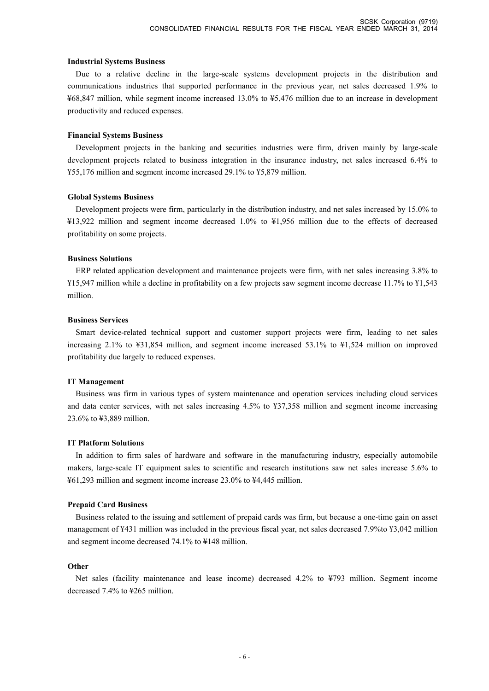#### **Industrial Systems Business**

Due to a relative decline in the large-scale systems development projects in the distribution and communications industries that supported performance in the previous year, net sales decreased 1.9% to ¥68,847 million, while segment income increased 13.0% to ¥5,476 million due to an increase in development productivity and reduced expenses.

### **Financial Systems Business**

Development projects in the banking and securities industries were firm, driven mainly by large-scale development projects related to business integration in the insurance industry, net sales increased 6.4% to ¥55,176 million and segment income increased 29.1% to ¥5,879 million.

### **Global Systems Business**

Development projects were firm, particularly in the distribution industry, and net sales increased by 15.0% to ¥13,922 million and segment income decreased 1.0% to ¥1,956 million due to the effects of decreased profitability on some projects.

#### **Business Solutions**

ERP related application development and maintenance projects were firm, with net sales increasing 3.8% to ¥15,947 million while a decline in profitability on a few projects saw segment income decrease 11.7% to ¥1,543 million.

### **Business Services**

Smart device-related technical support and customer support projects were firm, leading to net sales increasing 2.1% to ¥31,854 million, and segment income increased 53.1% to ¥1,524 million on improved profitability due largely to reduced expenses.

### **IT Management**

Business was firm in various types of system maintenance and operation services including cloud services and data center services, with net sales increasing 4.5% to ¥37,358 million and segment income increasing 23.6% to ¥3,889 million.

### **IT Platform Solutions**

In addition to firm sales of hardware and software in the manufacturing industry, especially automobile makers, large-scale IT equipment sales to scientific and research institutions saw net sales increase 5.6% to ¥61,293 million and segment income increase 23.0% to ¥4,445 million.

### **Prepaid Card Business**

Business related to the issuing and settlement of prepaid cards was firm, but because a one-time gain on asset management of ¥431 million was included in the previous fiscal year, net sales decreased 7.9%to ¥3,042 million and segment income decreased 74.1% to ¥148 million.

### **Other**

Net sales (facility maintenance and lease income) decreased 4.2% to ¥793 million. Segment income decreased 7.4% to ¥265 million.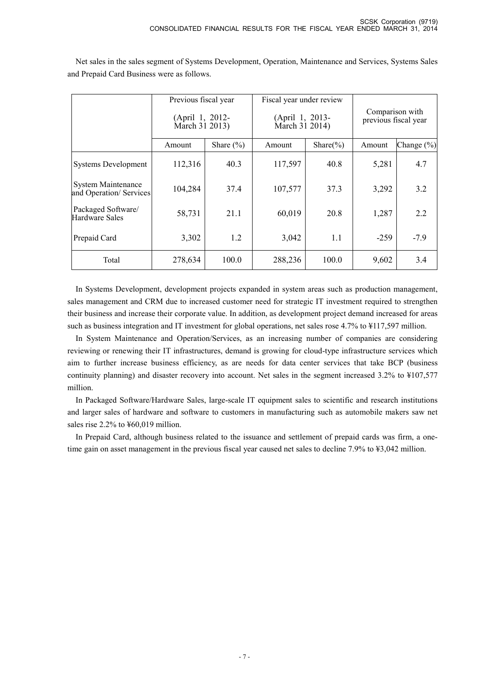|                                                     | Previous fiscal year<br>(April 1, 2012-<br>March 31 2013) |               | Fiscal year under review<br>(April 1, 2013-<br>March 31 2014) |               | Comparison with<br>previous fiscal year |                |
|-----------------------------------------------------|-----------------------------------------------------------|---------------|---------------------------------------------------------------|---------------|-----------------------------------------|----------------|
|                                                     | Amount                                                    | Share $(\% )$ | Amount                                                        | Share $(\% )$ | Amount                                  | Change $(\% )$ |
| <b>Systems Development</b>                          | 112,316                                                   | 40.3          | 117,597                                                       | 40.8          | 5,281                                   | 4.7            |
| <b>System Maintenance</b><br>and Operation/Services | 104,284                                                   | 37.4          | 107,577                                                       | 37.3          | 3,292                                   | 3.2            |
| Packaged Software/<br>Hardware Sales                | 58,731                                                    | 21.1          | 60,019                                                        | 20.8          | 1,287                                   | 2.2            |
| Prepaid Card                                        | 3,302                                                     | 1.2           | 3,042                                                         | 1.1           | $-259$                                  | $-7.9$         |
| Total                                               | 278,634                                                   | 100.0         | 288,236                                                       | 100.0         | 9,602                                   | 3.4            |

Net sales in the sales segment of Systems Development, Operation, Maintenance and Services, Systems Sales and Prepaid Card Business were as follows.

In Systems Development, development projects expanded in system areas such as production management, sales management and CRM due to increased customer need for strategic IT investment required to strengthen their business and increase their corporate value. In addition, as development project demand increased for areas such as business integration and IT investment for global operations, net sales rose 4.7% to ¥117,597 million.

In System Maintenance and Operation/Services, as an increasing number of companies are considering reviewing or renewing their IT infrastructures, demand is growing for cloud-type infrastructure services which aim to further increase business efficiency, as are needs for data center services that take BCP (business continuity planning) and disaster recovery into account. Net sales in the segment increased 3.2% to ¥107,577 million.

In Packaged Software/Hardware Sales, large-scale IT equipment sales to scientific and research institutions and larger sales of hardware and software to customers in manufacturing such as automobile makers saw net sales rise 2.2% to ¥60,019 million.

In Prepaid Card, although business related to the issuance and settlement of prepaid cards was firm, a onetime gain on asset management in the previous fiscal year caused net sales to decline 7.9% to ¥3,042 million.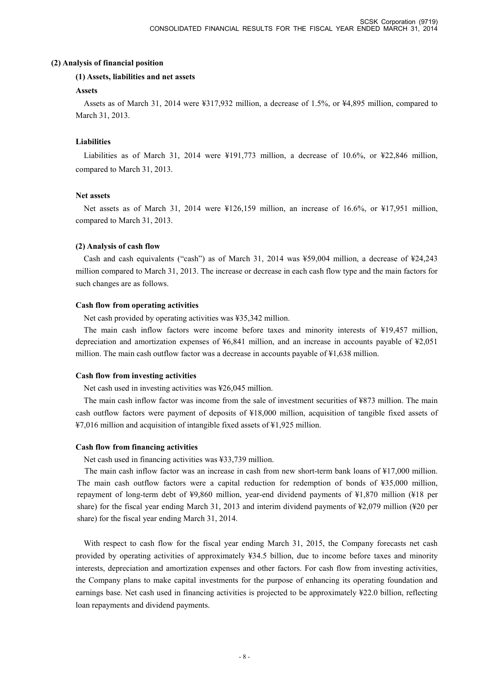### **(2) Analysis of financial position**

### **(1) Assets, liabilities and net assets**

### **Assets**

Assets as of March 31, 2014 were ¥317,932 million, a decrease of 1.5%, or ¥4,895 million, compared to March 31, 2013.

### **Liabilities**

Liabilities as of March 31, 2014 were ¥191,773 million, a decrease of 10.6%, or ¥22,846 million, compared to March 31, 2013.

### **Net assets**

Net assets as of March 31, 2014 were ¥126,159 million, an increase of 16.6%, or ¥17,951 million, compared to March 31, 2013.

#### **(2) Analysis of cash flow**

Cash and cash equivalents ("cash") as of March 31, 2014 was ¥59,004 million, a decrease of ¥24,243 million compared to March 31, 2013. The increase or decrease in each cash flow type and the main factors for such changes are as follows.

#### **Cash flow from operating activities**

Net cash provided by operating activities was ¥35,342 million.

The main cash inflow factors were income before taxes and minority interests of ¥19,457 million, depreciation and amortization expenses of ¥6,841 million, and an increase in accounts payable of ¥2,051 million. The main cash outflow factor was a decrease in accounts payable of  $\frac{1}{6}$ ,638 million.

### **Cash flow from investing activities**

Net cash used in investing activities was ¥26,045 million.

The main cash inflow factor was income from the sale of investment securities of ¥873 million. The main cash outflow factors were payment of deposits of ¥18,000 million, acquisition of tangible fixed assets of ¥7,016 million and acquisition of intangible fixed assets of ¥1,925 million.

### **Cash flow from financing activities**

Net cash used in financing activities was ¥33,739 million.

The main cash inflow factor was an increase in cash from new short-term bank loans of ¥17,000 million. The main cash outflow factors were a capital reduction for redemption of bonds of ¥35,000 million, repayment of long-term debt of ¥9,860 million, year-end dividend payments of ¥1,870 million (¥18 per share) for the fiscal year ending March 31, 2013 and interim dividend payments of ¥2,079 million (¥20 per share) for the fiscal year ending March 31, 2014.

With respect to cash flow for the fiscal year ending March 31, 2015, the Company forecasts net cash provided by operating activities of approximately ¥34.5 billion, due to income before taxes and minority interests, depreciation and amortization expenses and other factors. For cash flow from investing activities, the Company plans to make capital investments for the purpose of enhancing its operating foundation and earnings base. Net cash used in financing activities is projected to be approximately ¥22.0 billion, reflecting loan repayments and dividend payments.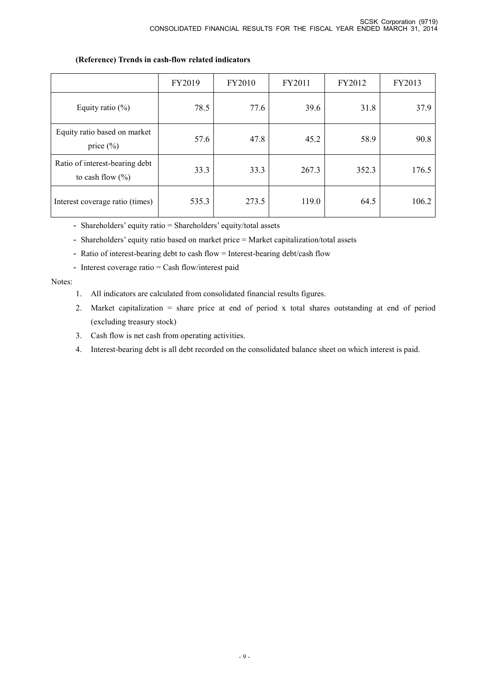# FY2019 FY2010 FY2011 FY2012 FY2013 Equity ratio (%) 78.5 77.6 39.6 31.8 37.9 Equity ratio based on market price (%) 57.6 47.8 46.2 58.9 58.9 Ratio of interest-bearing debt to cash flow  $(\% )$ 33.3 33.3 267.3 352.3 176.5 Interest coverage ratio (times) 535.3 273.5 119.0 64.5 106.2

### **(Reference) Trends in cash-flow related indicators**

- Shareholders' equity ratio = Shareholders' equity/total assets

- Shareholders' equity ratio based on market price = Market capitalization/total assets

- Ratio of interest-bearing debt to cash flow = Interest-bearing debt/cash flow
- Interest coverage ratio = Cash flow/interest paid

### Notes:

- 1. All indicators are calculated from consolidated financial results figures.
- 2. Market capitalization = share price at end of period x total shares outstanding at end of period (excluding treasury stock)
- 3. Cash flow is net cash from operating activities.
- 4. Interest-bearing debt is all debt recorded on the consolidated balance sheet on which interest is paid.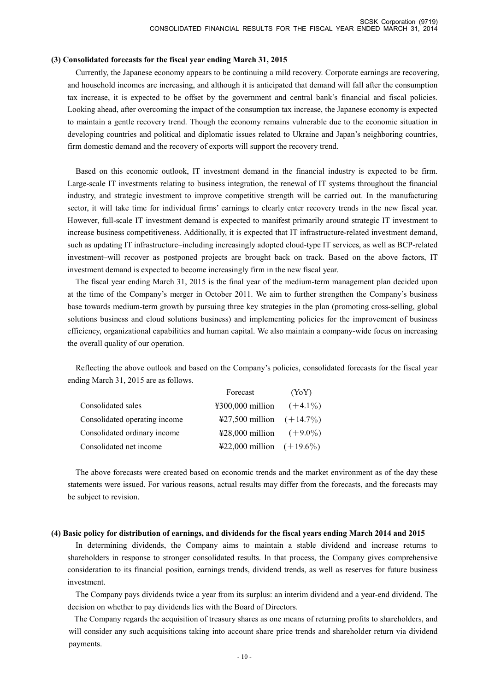#### **(3) Consolidated forecasts for the fiscal year ending March 31, 2015**

Currently, the Japanese economy appears to be continuing a mild recovery. Corporate earnings are recovering, and household incomes are increasing, and although it is anticipated that demand will fall after the consumption tax increase, it is expected to be offset by the government and central bank's financial and fiscal policies. Looking ahead, after overcoming the impact of the consumption tax increase, the Japanese economy is expected to maintain a gentle recovery trend. Though the economy remains vulnerable due to the economic situation in developing countries and political and diplomatic issues related to Ukraine and Japan's neighboring countries, firm domestic demand and the recovery of exports will support the recovery trend.

Based on this economic outlook, IT investment demand in the financial industry is expected to be firm. Large-scale IT investments relating to business integration, the renewal of IT systems throughout the financial industry, and strategic investment to improve competitive strength will be carried out. In the manufacturing sector, it will take time for individual firms' earnings to clearly enter recovery trends in the new fiscal year. However, full-scale IT investment demand is expected to manifest primarily around strategic IT investment to increase business competitiveness. Additionally, it is expected that IT infrastructure-related investment demand, such as updating IT infrastructure–including increasingly adopted cloud-type IT services, as well as BCP-related investment–will recover as postponed projects are brought back on track. Based on the above factors, IT investment demand is expected to become increasingly firm in the new fiscal year.

The fiscal year ending March 31, 2015 is the final year of the medium-term management plan decided upon at the time of the Company's merger in October 2011. We aim to further strengthen the Company's business base towards medium-term growth by pursuing three key strategies in the plan (promoting cross-selling, global solutions business and cloud solutions business) and implementing policies for the improvement of business efficiency, organizational capabilities and human capital. We also maintain a company-wide focus on increasing the overall quality of our operation.

Reflecting the above outlook and based on the Company's policies, consolidated forecasts for the fiscal year ending March 31, 2015 are as follows.

|                               | Forecast                    | (YoY) |
|-------------------------------|-----------------------------|-------|
| Consolidated sales            | ¥300,000 million $(+4.1\%)$ |       |
| Consolidated operating income | ¥27,500 million $(+14.7\%)$ |       |
| Consolidated ordinary income  | ¥28,000 million $(+9.0\%)$  |       |
| Consolidated net income       | ¥22,000 million $(+19.6\%)$ |       |

The above forecasts were created based on economic trends and the market environment as of the day these statements were issued. For various reasons, actual results may differ from the forecasts, and the forecasts may be subject to revision.

#### (4) Basic policy for distribution of earnings, and dividends for the fiscal years ending March 2014 and 2015

In determining dividends, the Company aims to maintain a stable dividend and increase returns to shareholders in response to stronger consolidated results. In that process, the Company gives comprehensive consideration to its financial position, earnings trends, dividend trends, as well as reserves for future business investment.

The Company pays dividends twice a year from its surplus: an interim dividend and a year-end dividend. The decision on whether to pay dividends lies with the Board of Directors.

The Company regards the acquisition of treasury shares as one means of returning profits to shareholders, and will consider any such acquisitions taking into account share price trends and shareholder return via dividend payments.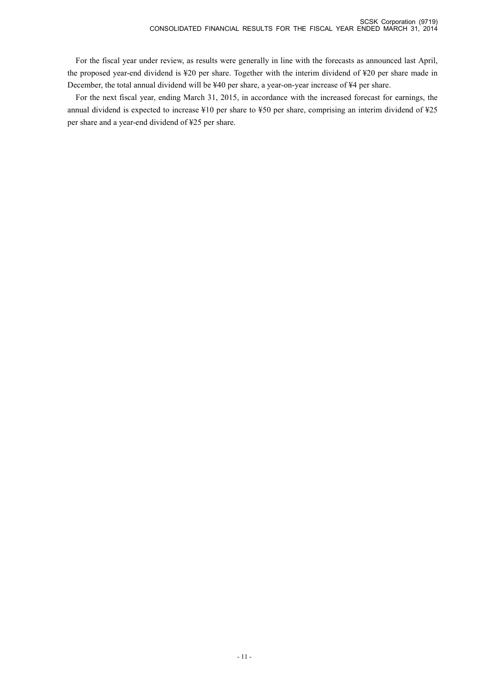For the fiscal year under review, as results were generally in line with the forecasts as announced last April, the proposed year-end dividend is ¥20 per share. Together with the interim dividend of ¥20 per share made in December, the total annual dividend will be ¥40 per share, a year-on-year increase of ¥4 per share.

For the next fiscal year, ending March 31, 2015, in accordance with the increased forecast for earnings, the annual dividend is expected to increase ¥10 per share to ¥50 per share, comprising an interim dividend of ¥25 per share and a year-end dividend of ¥25 per share.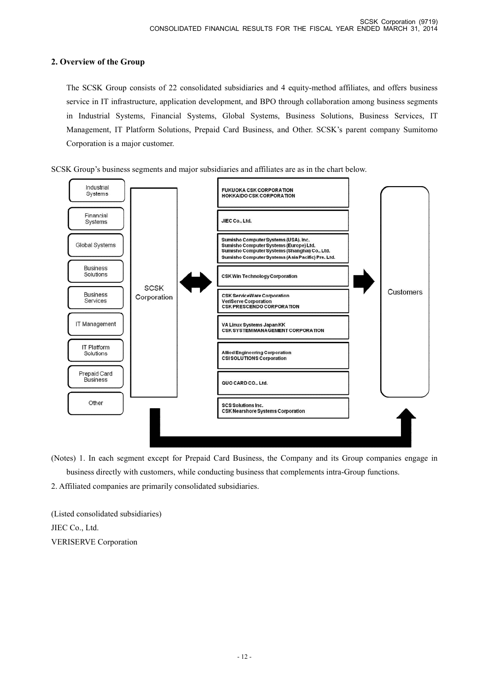# **2. Overview of the Group**

 The SCSK Group consists of 22 consolidated subsidiaries and 4 equity-method affiliates, and offers business service in IT infrastructure, application development, and BPO through collaboration among business segments in Industrial Systems, Financial Systems, Global Systems, Business Solutions, Business Services, IT Management, IT Platform Solutions, Prepaid Card Business, and Other. SCSK's parent company Sumitomo Corporation is a major customer.





(Notes) 1. In each segment except for Prepaid Card Business, the Company and its Group companies engage in business directly with customers, while conducting business that complements intra-Group functions.

2. Affiliated companies are primarily consolidated subsidiaries.

(Listed consolidated subsidiaries) JIEC Co., Ltd. VERISERVE Corporation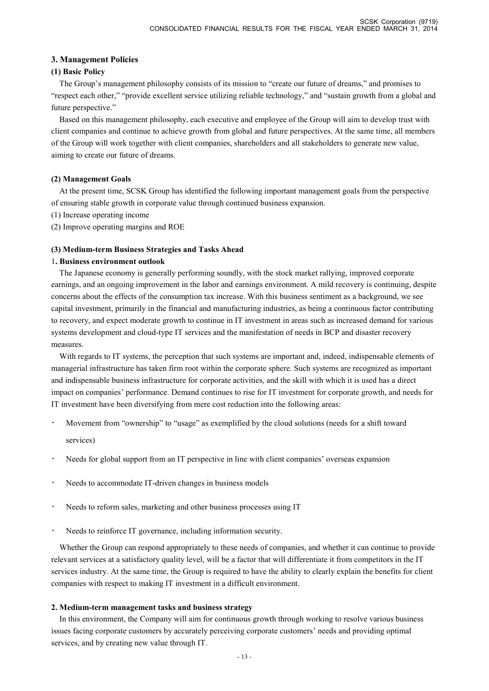# **3. Management Policies**

### **(1) Basic Policy**

The Group's management philosophy consists of its mission to "create our future of dreams," and promises to "respect each other," "provide excellent service utilizing reliable technology," and "sustain growth from a global and future perspective."

Based on this management philosophy, each executive and employee of the Group will aim to develop trust with client companies and continue to achieve growth from global and future perspectives. At the same time, all members of the Group will work together with client companies, shareholders and all stakeholders to generate new value, aiming to create our future of dreams.

### **(2) Management Goals**

At the present time, SCSK Group has identified the following important management goals from the perspective of ensuring stable growth in corporate value through continued business expansion.

- (1) Increase operating income
- (2) Improve operating margins and ROE

### **(3) Medium-term Business Strategies and Tasks Ahead**

### 1**. Business environment outlook**

The Japanese economy is generally performing soundly, with the stock market rallying, improved corporate earnings, and an ongoing improvement in the labor and earnings environment. A mild recovery is continuing, despite concerns about the effects of the consumption tax increase. With this business sentiment as a background, we see capital investment, primarily in the financial and manufacturing industries, as being a continuous factor contributing to recovery, and expect moderate growth to continue in IT investment in areas such as increased demand for various systems development and cloud-type IT services and the manifestation of needs in BCP and disaster recovery measures.

With regards to IT systems, the perception that such systems are important and, indeed, indispensable elements of managerial infrastructure has taken firm root within the corporate sphere. Such systems are recognized as important and indispensable business infrastructure for corporate activities, and the skill with which it is used has a direct impact on companies' performance. Demand continues to rise for IT investment for corporate growth, and needs for IT investment have been diversifying from mere cost reduction into the following areas:

- Movement from "ownership" to "usage" as exemplified by the cloud solutions (needs for a shift toward services)
- Needs for global support from an IT perspective in line with client companies' overseas expansion
- Needs to accommodate IT-driven changes in business models
- Needs to reform sales, marketing and other business processes using IT
- Needs to reinforce IT governance, including information security.

Whether the Group can respond appropriately to these needs of companies, and whether it can continue to provide relevant services at a satisfactory quality level, will be a factor that will differentiate it from competitors in the IT services industry. At the same time, the Group is required to have the ability to clearly explain the benefits for client companies with respect to making IT investment in a difficult environment.

### **2. Medium-term management tasks and business strategy**

In this environment, the Company will aim for continuous growth through working to resolve various business issues facing corporate customers by accurately perceiving corporate customers' needs and providing optimal services, and by creating new value through IT.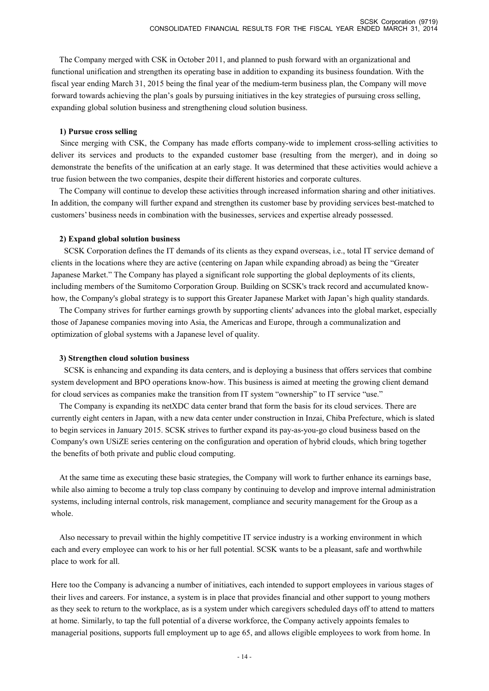The Company merged with CSK in October 2011, and planned to push forward with an organizational and functional unification and strengthen its operating base in addition to expanding its business foundation. With the fiscal year ending March 31, 2015 being the final year of the medium-term business plan, the Company will move forward towards achieving the plan's goals by pursuing initiatives in the key strategies of pursuing cross selling, expanding global solution business and strengthening cloud solution business.

### **1) Pursue cross selling**

Since merging with CSK, the Company has made efforts company-wide to implement cross-selling activities to deliver its services and products to the expanded customer base (resulting from the merger), and in doing so demonstrate the benefits of the unification at an early stage. It was determined that these activities would achieve a true fusion between the two companies, despite their different histories and corporate cultures.

The Company will continue to develop these activities through increased information sharing and other initiatives. In addition, the company will further expand and strengthen its customer base by providing services best-matched to customers' business needs in combination with the businesses, services and expertise already possessed.

#### **2) Expand global solution business**

SCSK Corporation defines the IT demands of its clients as they expand overseas, i.e., total IT service demand of clients in the locations where they are active (centering on Japan while expanding abroad) as being the "Greater Japanese Market." The Company has played a significant role supporting the global deployments of its clients, including members of the Sumitomo Corporation Group. Building on SCSK's track record and accumulated knowhow, the Company's global strategy is to support this Greater Japanese Market with Japan's high quality standards.

The Company strives for further earnings growth by supporting clients' advances into the global market, especially those of Japanese companies moving into Asia, the Americas and Europe, through a communalization and optimization of global systems with a Japanese level of quality.

#### **3) Strengthen cloud solution business**

SCSK is enhancing and expanding its data centers, and is deploying a business that offers services that combine system development and BPO operations know-how. This business is aimed at meeting the growing client demand for cloud services as companies make the transition from IT system "ownership" to IT service "use."

The Company is expanding its netXDC data center brand that form the basis for its cloud services. There are currently eight centers in Japan, with a new data center under construction in Inzai, Chiba Prefecture, which is slated to begin services in January 2015. SCSK strives to further expand its pay-as-you-go cloud business based on the Company's own USiZE series centering on the configuration and operation of hybrid clouds, which bring together the benefits of both private and public cloud computing.

At the same time as executing these basic strategies, the Company will work to further enhance its earnings base, while also aiming to become a truly top class company by continuing to develop and improve internal administration systems, including internal controls, risk management, compliance and security management for the Group as a whole.

Also necessary to prevail within the highly competitive IT service industry is a working environment in which each and every employee can work to his or her full potential. SCSK wants to be a pleasant, safe and worthwhile place to work for all.

Here too the Company is advancing a number of initiatives, each intended to support employees in various stages of their lives and careers. For instance, a system is in place that provides financial and other support to young mothers as they seek to return to the workplace, as is a system under which caregivers scheduled days off to attend to matters at home. Similarly, to tap the full potential of a diverse workforce, the Company actively appoints females to managerial positions, supports full employment up to age 65, and allows eligible employees to work from home. In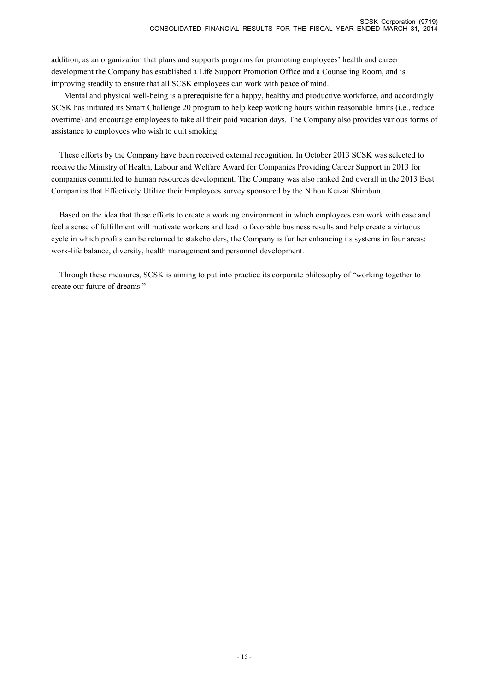addition, as an organization that plans and supports programs for promoting employees' health and career development the Company has established a Life Support Promotion Office and a Counseling Room, and is improving steadily to ensure that all SCSK employees can work with peace of mind.

Mental and physical well-being is a prerequisite for a happy, healthy and productive workforce, and accordingly SCSK has initiated its Smart Challenge 20 program to help keep working hours within reasonable limits (i.e., reduce overtime) and encourage employees to take all their paid vacation days. The Company also provides various forms of assistance to employees who wish to quit smoking.

These efforts by the Company have been received external recognition. In October 2013 SCSK was selected to receive the Ministry of Health, Labour and Welfare Award for Companies Providing Career Support in 2013 for companies committed to human resources development. The Company was also ranked 2nd overall in the 2013 Best Companies that Effectively Utilize their Employees survey sponsored by the Nihon Keizai Shimbun.

Based on the idea that these efforts to create a working environment in which employees can work with ease and feel a sense of fulfillment will motivate workers and lead to favorable business results and help create a virtuous cycle in which profits can be returned to stakeholders, the Company is further enhancing its systems in four areas: work-life balance, diversity, health management and personnel development.

Through these measures, SCSK is aiming to put into practice its corporate philosophy of "working together to create our future of dreams."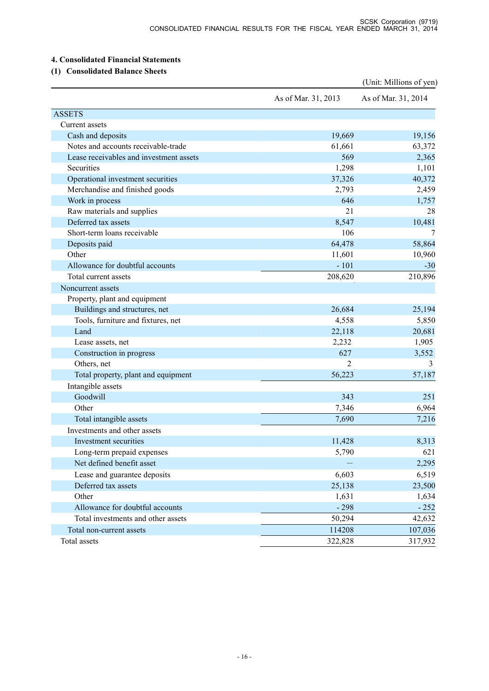# **4. Consolidated Financial Statements**

# **(1) Consolidated Balance Sheets**

|                                         |                     | (Unit: Millions of yen) |
|-----------------------------------------|---------------------|-------------------------|
|                                         | As of Mar. 31, 2013 | As of Mar. 31, 2014     |
| <b>ASSETS</b>                           |                     |                         |
| Current assets                          |                     |                         |
| Cash and deposits                       | 19,669              | 19,156                  |
| Notes and accounts receivable-trade     | 61,661              | 63,372                  |
| Lease receivables and investment assets | 569                 | 2,365                   |
| Securities                              | 1,298               | 1,101                   |
| Operational investment securities       | 37,326              | 40,372                  |
| Merchandise and finished goods          | 2,793               | 2,459                   |
| Work in process                         | 646                 | 1,757                   |
| Raw materials and supplies              | 21                  | 28                      |
| Deferred tax assets                     | 8,547               | 10,481                  |
| Short-term loans receivable             | 106                 | 7                       |
| Deposits paid                           | 64,478              | 58,864                  |
| Other                                   | 11,601              | 10,960                  |
| Allowance for doubtful accounts         | $-101$              | $-30$                   |
| Total current assets                    | 208,620             | 210,896                 |
| Noncurrent assets                       |                     |                         |
| Property, plant and equipment           |                     |                         |
| Buildings and structures, net           | 26,684              | 25,194                  |
| Tools, furniture and fixtures, net      | 4,558               | 5,850                   |
| Land                                    | 22,118              | 20,681                  |
| Lease assets, net                       | 2,232               | 1,905                   |
| Construction in progress                | 627                 | 3,552                   |
| Others, net                             | 2                   | 3                       |
| Total property, plant and equipment     | 56,223              | 57,187                  |
| Intangible assets                       |                     |                         |
| Goodwill                                | 343                 | 251                     |
| Other                                   | 7,346               | 6,964                   |
| Total intangible assets                 | 7,690               | 7,216                   |
| Investments and other assets            |                     |                         |
| Investment securities                   | 11,428              | 8,313                   |
| Long-term prepaid expenses              | 5,790               | 621                     |
| Net defined benefit asset               |                     | 2,295                   |
| Lease and guarantee deposits            | 6,603               | 6,519                   |
| Deferred tax assets                     | 25,138              | 23,500                  |
| Other                                   | 1,631               | 1,634                   |
| Allowance for doubtful accounts         | $-298$              | $-252$                  |
| Total investments and other assets      | 50,294              | 42,632                  |
| Total non-current assets                | 114208              | 107,036                 |
| Total assets                            | 322,828             | 317,932                 |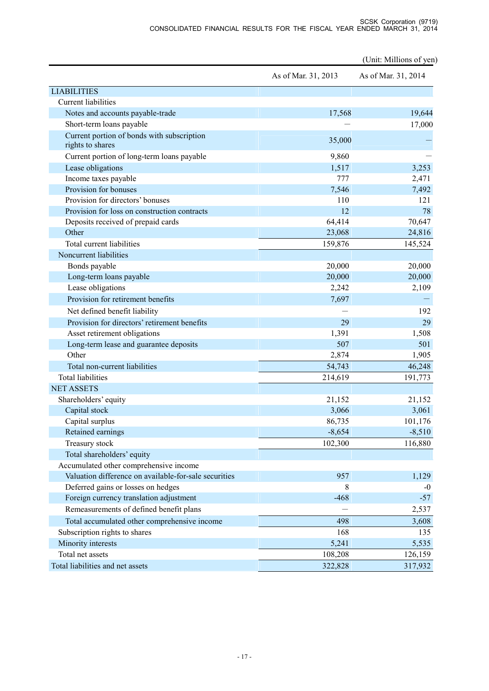#### SCSK Corporation (9719) CONSOLIDATED FINANCIAL RESULTS FOR THE FISCAL YEAR ENDED MARCH 31, 2014

(Unit: Millions of yen) As of Mar. 31, 2013 As of Mar. 31, 2014 LIABILITIES Current liabilities Notes and accounts payable-trade 19,644 Short-term loans payable  $-$  17,000 Current portion of bonds with subscription rights to shares 35,000 - Current portion of long-term loans payable 9,860 Lease obligations 1,517 3,253 Income taxes payable 2,471 2,471 Provision for bonuses 7,492 Provision for directors' bonuses 110 121 Provision for loss on construction contracts 12 78 Deposits received of prepaid cards 64,414 70,647 Other 23,068 24,816 Total current liabilities 159,876 145,524 Noncurrent liabilities Bonds payable 20,000 20,000 20,000 Long-term loans payable 20,000 20,000 20,000 20,000 20,000 20,000 20,000 20,000 20,000 20,000 20,000 20,000 20,000 20,000 20,000 20,000 20,000 20,000 20,000 20,000 20,000 20,000 20,000 20,000 20,000 20,000 20,000 20,000 20 Lease obligations 2,242 2,109 Provision for retirement benefits 7,697 Net defined benefit liability  $-$  192 Provision for directors' retirement benefits 29 29 Asset retirement obligations 1,508 1,508 Long-term lease and guarantee deposits 507 501 Other 2,874 1,905 Total non-current liabilities 64,743 46,248 Total liabilities 214,619 191,773 NET ASSETS Shareholders' equity 21,152 21,152 21,152 Capital stock 3,061 3,061 3,061 3,061 3,061 3,061 3,061 3,061 3,061 3,061 3,061 3,061 3,061 3,061 3,061 3,061 3,061 3,061 3,061 3,061 3,061 3,061 3,061 3,061 3,061 3,061 3,061 3,061 3,061 3,061 3,061 3,061 3,061 3,061 3,06 Capital surplus  $86,735$  101,176 Retained earnings -8,654 -8,510 Treasury stock 102,300 116,880 Total shareholders' equity Accumulated other comprehensive income Valuation difference on available-for-sale securities 957 957 1,129 Deferred gains or losses on hedges 8 -0 Foreign currency translation adjustment -468 -57 Remeasurements of defined benefit plans  $-$  2,537 Total accumulated other comprehensive income 498 498 3,608 Subscription rights to shares 168 135 Minority interests 5,535 and 5,535 and 5,535 and 5,535 and 5,535 and 5,535 and 5,535 and 5,535 and 5,535 and 5,535 and 5,535 and 5,535 and 5,535 and 5,535 and 5,535 and 5,535 and 5,535 and 5,535 and 5,535 and 5,535 and 5,5 Total net assets 108,208 126,159 Total liabilities and net assets 322,828 317,932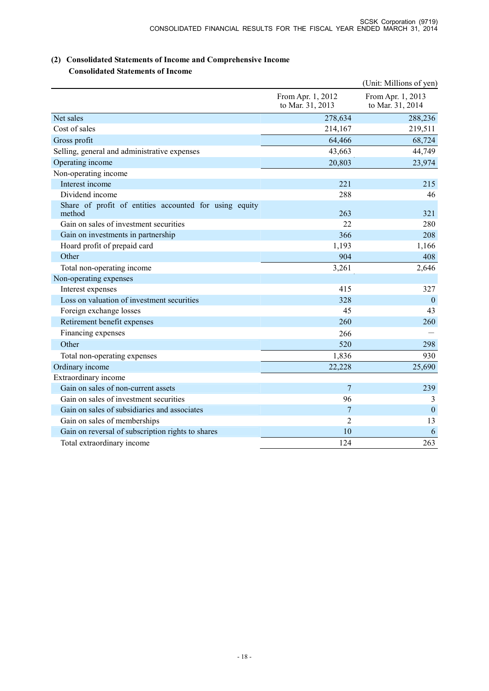# **(2) Consolidated Statements of Income and Comprehensive Income Consolidated Statements of Income**

|                                                                  |                                       | (Unit: Millions of yen)               |
|------------------------------------------------------------------|---------------------------------------|---------------------------------------|
|                                                                  | From Apr. 1, 2012<br>to Mar. 31, 2013 | From Apr. 1, 2013<br>to Mar. 31, 2014 |
| Net sales                                                        | 278,634                               | 288,236                               |
| Cost of sales                                                    | 214,167                               | 219,511                               |
| Gross profit                                                     | 64,466                                | 68,724                                |
| Selling, general and administrative expenses                     | 43,663                                | 44,749                                |
| Operating income                                                 | 20,803                                | 23,974                                |
| Non-operating income                                             |                                       |                                       |
| Interest income                                                  | 221                                   | 215                                   |
| Dividend income                                                  | 288                                   | 46                                    |
| Share of profit of entities accounted for using equity<br>method | 263                                   | 321                                   |
| Gain on sales of investment securities                           | 22                                    | 280                                   |
| Gain on investments in partnership                               | 366                                   | 208                                   |
| Hoard profit of prepaid card                                     | 1,193                                 | 1,166                                 |
| Other                                                            | 904                                   | 408                                   |
| Total non-operating income                                       | 3,261                                 | 2,646                                 |
| Non-operating expenses                                           |                                       |                                       |
| Interest expenses                                                | 415                                   | 327                                   |
| Loss on valuation of investment securities                       | 328                                   | $\mathbf{0}$                          |
| Foreign exchange losses                                          | 45                                    | 43                                    |
| Retirement benefit expenses                                      | 260                                   | 260                                   |
| Financing expenses                                               | 266                                   |                                       |
| Other                                                            | 520                                   | 298                                   |
| Total non-operating expenses                                     | 1,836                                 | 930                                   |
| Ordinary income                                                  | 22,228                                | 25,690                                |
| Extraordinary income                                             |                                       |                                       |
| Gain on sales of non-current assets                              | $\overline{7}$                        | 239                                   |
| Gain on sales of investment securities                           | 96                                    | 3                                     |
| Gain on sales of subsidiaries and associates                     | $\overline{7}$                        | $\mathbf{0}$                          |
| Gain on sales of memberships                                     | $\overline{2}$                        | 13                                    |
| Gain on reversal of subscription rights to shares                | 10                                    | 6                                     |
| Total extraordinary income                                       | 124                                   | 263                                   |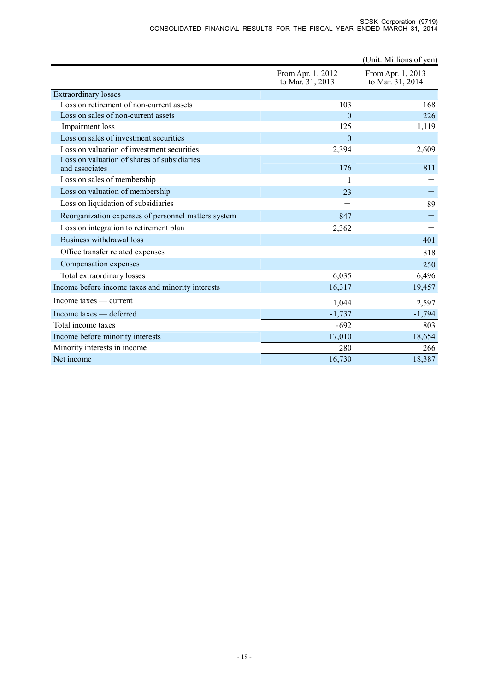|                                                               |                                       | (Unit: Millions of yen)               |
|---------------------------------------------------------------|---------------------------------------|---------------------------------------|
|                                                               | From Apr. 1, 2012<br>to Mar. 31, 2013 | From Apr. 1, 2013<br>to Mar. 31, 2014 |
| <b>Extraordinary</b> losses                                   |                                       |                                       |
| Loss on retirement of non-current assets                      | 103                                   | 168                                   |
| Loss on sales of non-current assets                           | $\Omega$                              | 226                                   |
| Impairment loss                                               | 125                                   | 1,119                                 |
| Loss on sales of investment securities                        | $\Omega$                              |                                       |
| Loss on valuation of investment securities                    | 2,394                                 | 2,609                                 |
| Loss on valuation of shares of subsidiaries<br>and associates | 176                                   | 811                                   |
| Loss on sales of membership                                   | 1                                     |                                       |
| Loss on valuation of membership                               | 23                                    |                                       |
| Loss on liquidation of subsidiaries                           |                                       | 89                                    |
| Reorganization expenses of personnel matters system           | 847                                   |                                       |
| Loss on integration to retirement plan                        | 2,362                                 |                                       |
| Business withdrawal loss                                      |                                       | 401                                   |
| Office transfer related expenses                              |                                       | 818                                   |
| Compensation expenses                                         |                                       | 250                                   |
| Total extraordinary losses                                    | 6,035                                 | 6,496                                 |
| Income before income taxes and minority interests             | 16,317                                | 19,457                                |
| $Income taxes - current$                                      | 1,044                                 | 2,597                                 |
| Income taxes - deferred                                       | $-1,737$                              | $-1,794$                              |
| Total income taxes                                            | $-692$                                | 803                                   |
| Income before minority interests                              | 17,010                                | 18,654                                |
| Minority interests in income                                  | 280                                   | 266                                   |
| Net income                                                    | 16,730                                | 18,387                                |

#### SCSK Corporation (9719) CONSOLIDATED FINANCIAL RESULTS FOR THE FISCAL YEAR ENDED MARCH 31, 2014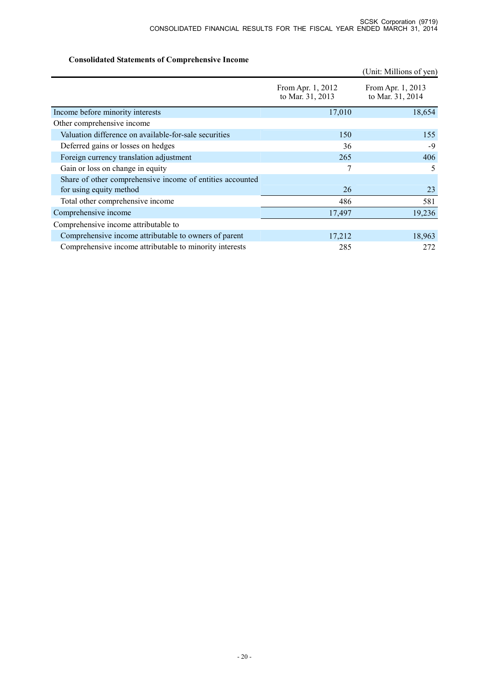# **Consolidated Statements of Comprehensive Income**

|                                                                                      |                                       | (Unit: Millions of yen)               |
|--------------------------------------------------------------------------------------|---------------------------------------|---------------------------------------|
|                                                                                      | From Apr. 1, 2012<br>to Mar. 31, 2013 | From Apr. 1, 2013<br>to Mar. 31, 2014 |
| Income before minority interests                                                     | 17,010                                | 18,654                                |
| Other comprehensive income                                                           |                                       |                                       |
| Valuation difference on available-for-sale securities                                | 150                                   | 155                                   |
| Deferred gains or losses on hedges                                                   | 36                                    | -9                                    |
| Foreign currency translation adjustment                                              | 265                                   | 406                                   |
| Gain or loss on change in equity                                                     | 7                                     | 5                                     |
| Share of other comprehensive income of entities accounted<br>for using equity method | 26                                    | 23                                    |
| Total other comprehensive income                                                     | 486                                   | 581                                   |
| Comprehensive income                                                                 | 17,497                                | 19,236                                |
| Comprehensive income attributable to                                                 |                                       |                                       |
| Comprehensive income attributable to owners of parent                                | 17,212                                | 18,963                                |
| Comprehensive income attributable to minority interests                              | 285                                   | 272                                   |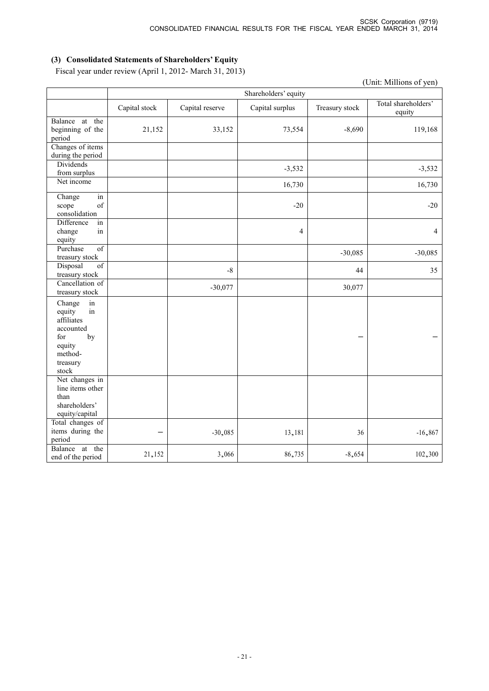(Unit: Millions of yen)

# **(3) Consolidated Statements of Shareholders' Equity**

Fiscal year under review (April 1, 2012- March 31, 2013)

Shareholders' equity Capital stock Capital reserve Capital surplus Treasury stock Total shareholders' equity Balance at the beginning of the period 21,152 33,152 73,554 -8,690 119,168 Changes of items during the period Dividends from surplus  $-3,532$   $-3,532$ Net income 16,730 16,730 Change in scope of consolidation  $-20$   $-20$ Difference in change in equity 4 4 Purchase of treasury stock -30,085 -30,085 Disposal of treasury stock  $-8$  35 Cancellation of treasury stock  $-30,077$  30,077 Change in equity in affiliates accounted by equity methodtreasury stock - - Net changes in line items other than shareholders' equity/capital Total changes of items during the period  $-$  -30,085  $13,181$  36 -16,867 Balance at the end of the period 21,152  $3,066$   $86,735$   $-8,654$   $102,300$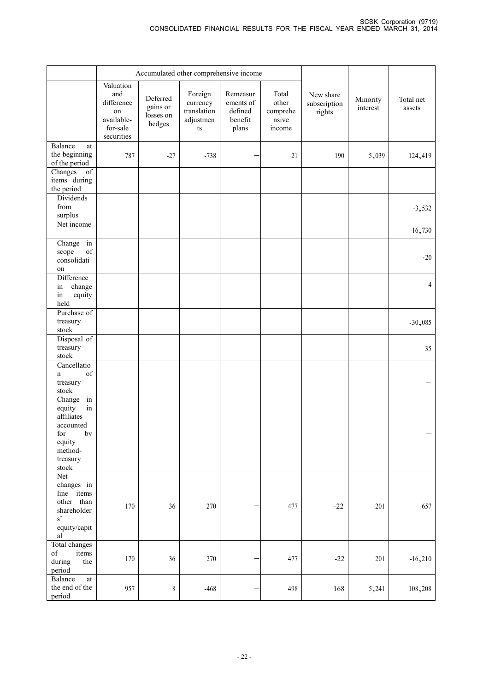|                                                                                                                                               | Accumulated other comprehensive income                                       |                                             |                                                       |                                                      |                                               |                                     |                      |                     |
|-----------------------------------------------------------------------------------------------------------------------------------------------|------------------------------------------------------------------------------|---------------------------------------------|-------------------------------------------------------|------------------------------------------------------|-----------------------------------------------|-------------------------------------|----------------------|---------------------|
|                                                                                                                                               | Valuation<br>and<br>difference<br>on<br>available-<br>for-sale<br>securities | Deferred<br>gains or<br>losses on<br>hedges | Foreign<br>currency<br>translation<br>adjustmen<br>ts | Remeasur<br>ements of<br>defined<br>benefit<br>plans | Total<br>other<br>comprehe<br>nsive<br>income | New share<br>subscription<br>rights | Minority<br>interest | Total net<br>assets |
| Balance<br>at<br>the beginning<br>of the period                                                                                               | 787                                                                          | $-27$                                       | $-738$                                                |                                                      | 21                                            | 190                                 | 5,039                | 124,419             |
| $\overline{of}$<br>Changes<br>items during<br>the period                                                                                      |                                                                              |                                             |                                                       |                                                      |                                               |                                     |                      |                     |
| Dividends<br>from<br>surplus                                                                                                                  |                                                                              |                                             |                                                       |                                                      |                                               |                                     |                      | $-3,532$            |
| Net income                                                                                                                                    |                                                                              |                                             |                                                       |                                                      |                                               |                                     |                      | 16,730              |
| Change in<br>of<br>scope<br>consolidati<br>on                                                                                                 |                                                                              |                                             |                                                       |                                                      |                                               |                                     |                      | $-20$               |
| Difference<br>change<br>in<br>in<br>equity<br>held                                                                                            |                                                                              |                                             |                                                       |                                                      |                                               |                                     |                      | $\overline{4}$      |
| Purchase of<br>treasury<br>stock                                                                                                              |                                                                              |                                             |                                                       |                                                      |                                               |                                     |                      | $-30,085$           |
| Disposal of<br>treasury<br>stock                                                                                                              |                                                                              |                                             |                                                       |                                                      |                                               |                                     |                      | 35                  |
| Cancellatio<br>of<br>$\mathbf n$<br>treasury<br>${\sf stock}$                                                                                 |                                                                              |                                             |                                                       |                                                      |                                               |                                     |                      |                     |
| Change in<br>equity<br>$\operatorname{in}$<br>affiliates<br>accounted<br>for<br>$_{\rm by}$<br>equity<br>method-<br>treasury<br>${\sf stock}$ |                                                                              |                                             |                                                       |                                                      |                                               |                                     |                      |                     |
| Net<br>changes in<br>line items<br>other than<br>shareholder<br>$s^{\prime}$<br>equity/capit<br>al                                            | 170                                                                          | 36                                          | 270                                                   |                                                      | 477                                           | $-22$                               | 201                  | 657                 |
| Total changes<br>of<br>items<br>during<br>the<br>period                                                                                       | 170                                                                          | 36                                          | 270                                                   |                                                      | 477                                           | $-22$                               | 201                  | $-16,210$           |
| Balance<br>at<br>the end of the<br>period                                                                                                     | 957                                                                          | $\,$ $\,$                                   | $-468$                                                |                                                      | 498                                           | 168                                 | 5,241                | 108,208             |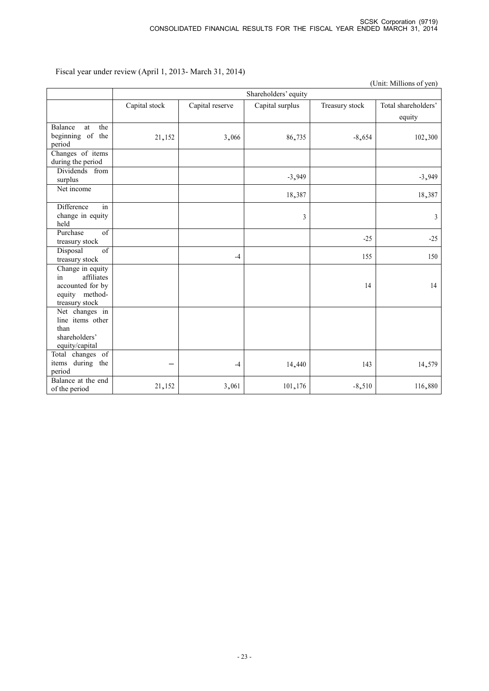| (Unit: Millions of yen)                                                                      |               |                      |                 |                |                               |  |  |  |
|----------------------------------------------------------------------------------------------|---------------|----------------------|-----------------|----------------|-------------------------------|--|--|--|
|                                                                                              |               | Shareholders' equity |                 |                |                               |  |  |  |
|                                                                                              | Capital stock | Capital reserve      | Capital surplus | Treasury stock | Total shareholders'<br>equity |  |  |  |
| the<br>Balance<br>at<br>beginning of the<br>period                                           | 21,152        | 3,066                | 86,735          | $-8,654$       | 102,300                       |  |  |  |
| Changes of items<br>during the period                                                        |               |                      |                 |                |                               |  |  |  |
| Dividends from<br>surplus                                                                    |               |                      | $-3,949$        |                | $-3,949$                      |  |  |  |
| Net income                                                                                   |               |                      | 18,387          |                | 18,387                        |  |  |  |
| Difference<br>in<br>change in equity<br>held                                                 |               |                      | 3               |                | 3                             |  |  |  |
| Purchase<br>$\overline{\text{of}}$<br>treasury stock                                         |               |                      |                 | $-25$          | $-25$                         |  |  |  |
| of<br>Disposal<br>treasury stock                                                             |               | $-4$                 |                 | 155            | 150                           |  |  |  |
| Change in equity<br>affiliates<br>in<br>accounted for by<br>equity method-<br>treasury stock |               |                      |                 | 14             | 14                            |  |  |  |
| Net changes in<br>line items other<br>than<br>shareholders'<br>equity/capital                |               |                      |                 |                |                               |  |  |  |
| Total changes of<br>items during the<br>period                                               |               | $-4$                 | 14,440          | 143            | 14,579                        |  |  |  |
| Balance at the end<br>of the period                                                          | 21,152        | 3,061                | 101,176         | $-8,510$       | 116,880                       |  |  |  |

Fiscal year under review (April 1, 2013- March 31, 2014)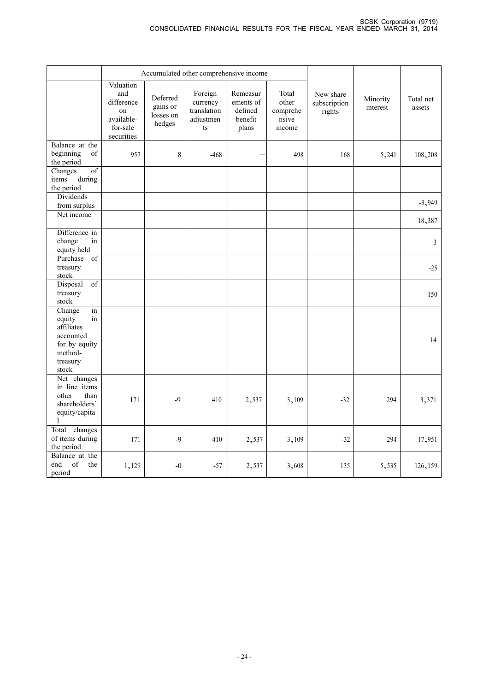|                                                                                                          | Accumulated other comprehensive income                                                  |                                             |                                                       |                                                      |                                               |                                     |                      |                     |
|----------------------------------------------------------------------------------------------------------|-----------------------------------------------------------------------------------------|---------------------------------------------|-------------------------------------------------------|------------------------------------------------------|-----------------------------------------------|-------------------------------------|----------------------|---------------------|
|                                                                                                          | Valuation<br>and<br>difference<br><sub>on</sub><br>available-<br>for-sale<br>securities | Deferred<br>gains or<br>losses on<br>hedges | Foreign<br>currency<br>translation<br>adjustmen<br>ts | Remeasur<br>ements of<br>defined<br>benefit<br>plans | Total<br>other<br>comprehe<br>nsive<br>income | New share<br>subscription<br>rights | Minority<br>interest | Total net<br>assets |
| Balance at the<br>beginning<br>of<br>the period                                                          | 957                                                                                     | $8\,$                                       | $-468$                                                |                                                      | 498                                           | 168                                 | 5,241                | 108,208             |
| Changes<br>$\sigma f$<br>during<br>items<br>the period                                                   |                                                                                         |                                             |                                                       |                                                      |                                               |                                     |                      |                     |
| Dividends<br>from surplus                                                                                |                                                                                         |                                             |                                                       |                                                      |                                               |                                     |                      | $-3,949$            |
| Net income                                                                                               |                                                                                         |                                             |                                                       |                                                      |                                               |                                     |                      | 18,387              |
| Difference in<br>change<br>in<br>equity held                                                             |                                                                                         |                                             |                                                       |                                                      |                                               |                                     |                      | $\mathfrak{Z}$      |
| Purchase<br>of<br>treasury<br>${\sf stock}$                                                              |                                                                                         |                                             |                                                       |                                                      |                                               |                                     |                      | $-25$               |
| Disposal<br>$\overline{of}$<br>treasury<br>stock                                                         |                                                                                         |                                             |                                                       |                                                      |                                               |                                     |                      | 150                 |
| Change<br>in<br>equity<br>in<br>affiliates<br>accounted<br>for by equity<br>method-<br>treasury<br>stock |                                                                                         |                                             |                                                       |                                                      |                                               |                                     |                      | 14                  |
| Net changes<br>in line items<br>other<br>than<br>shareholders'<br>equity/capita<br>$\mathbf{1}$          | 171                                                                                     | $-9$                                        | 410                                                   | 2,537                                                | 3,109                                         | $-32$                               | 294                  | 3,371               |
| Total changes<br>of items during<br>the period                                                           | 171                                                                                     | $-9$                                        | 410                                                   | 2,537                                                | 3,109                                         | $-32$                               | 294                  | 17,951              |
| Balance at the<br>of<br>the<br>end<br>period                                                             | 1,129                                                                                   | $-0$                                        | $-57$                                                 | 2,537                                                | 3,608                                         | 135                                 | 5,535                | 126,159             |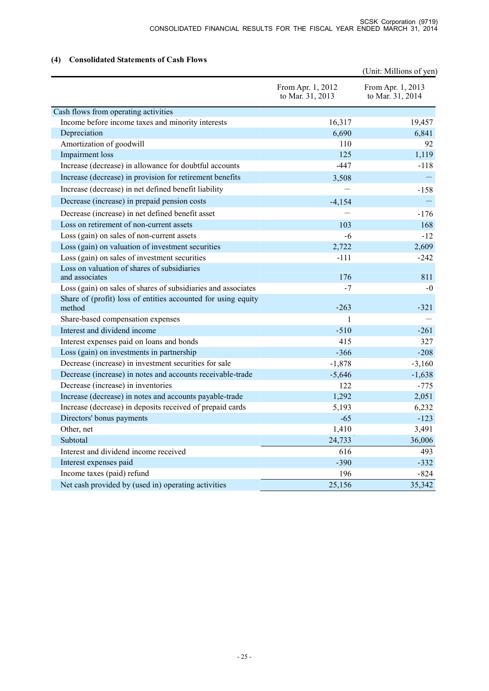# **(4) Consolidated Statements of Cash Flows**

| (4)<br>Consolidated Statements of Cash Flows                            |                                       | (Unit: Millions of yen)               |
|-------------------------------------------------------------------------|---------------------------------------|---------------------------------------|
|                                                                         | From Apr. 1, 2012<br>to Mar. 31, 2013 | From Apr. 1, 2013<br>to Mar. 31, 2014 |
| Cash flows from operating activities                                    |                                       |                                       |
| Income before income taxes and minority interests                       | 16,317                                | 19,457                                |
| Depreciation                                                            | 6,690                                 | 6,841                                 |
| Amortization of goodwill                                                | 110                                   | 92                                    |
| Impairment loss                                                         | 125                                   | 1,119                                 |
| Increase (decrease) in allowance for doubtful accounts                  | $-447$                                | $-118$                                |
| Increase (decrease) in provision for retirement benefits                | 3,508                                 |                                       |
| Increase (decrease) in net defined benefit liability                    |                                       | $-158$                                |
| Decrease (increase) in prepaid pension costs                            | $-4,154$                              |                                       |
| Decrease (increase) in net defined benefit asset                        |                                       | $-176$                                |
| Loss on retirement of non-current assets                                | 103                                   | 168                                   |
| Loss (gain) on sales of non-current assets                              | $-6$                                  | $-12$                                 |
| Loss (gain) on valuation of investment securities                       | 2,722                                 | 2,609                                 |
| Loss (gain) on sales of investment securities                           | $-111$                                | $-242$                                |
| Loss on valuation of shares of subsidiaries                             |                                       |                                       |
| and associates                                                          | 176                                   | 811                                   |
| Loss (gain) on sales of shares of subsidiaries and associates           | $-7$                                  | $-0$                                  |
| Share of (profit) loss of entities accounted for using equity<br>method | $-263$                                | $-321$                                |
| Share-based compensation expenses                                       | $\mathbf{1}$                          |                                       |
| Interest and dividend income                                            | $-510$                                | $-261$                                |
| Interest expenses paid on loans and bonds                               | 415                                   | 327                                   |
| Loss (gain) on investments in partnership                               | $-366$                                | $-208$                                |
| Decrease (increase) in investment securities for sale                   | $-1,878$                              | $-3,160$                              |
| Decrease (increase) in notes and accounts receivable-trade              | $-5,646$                              | $-1,638$                              |
| Decrease (increase) in inventories                                      | 122                                   | $-775$                                |
| Increase (decrease) in notes and accounts payable-trade                 | 1,292                                 | 2,051                                 |
| Increase (decrease) in deposits received of prepaid cards               | 5,193                                 | 6,232                                 |
| Directors' bonus payments                                               | $-65$                                 | $-123$                                |
| Other, net                                                              | 1,410                                 | 3,491                                 |
| Subtotal                                                                | 24,733                                | 36,006                                |
| Interest and dividend income received                                   | 616                                   | 493                                   |
| Interest expenses paid                                                  | $-390$                                | $-332$                                |
| Income taxes (paid) refund                                              | 196                                   | $-824$                                |
| Net cash provided by (used in) operating activities                     | 25,156                                | 35,342                                |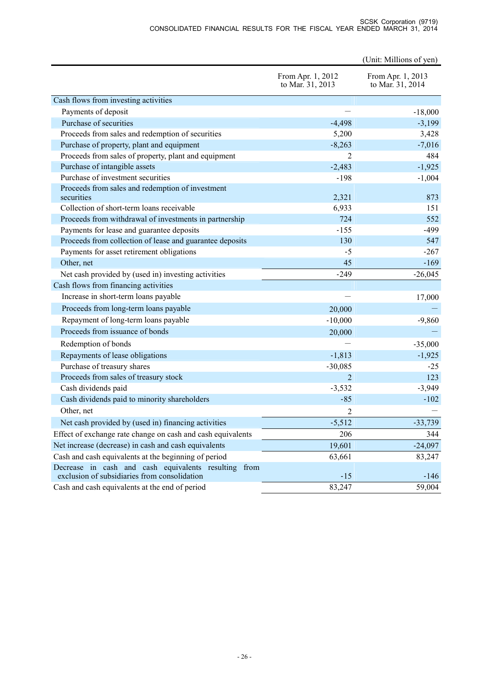#### SCSK Corporation (9719) CONSOLIDATED FINANCIAL RESULTS FOR THE FISCAL YEAR ENDED MARCH 31, 2014

|                                                             |                                       | (Unit: Millions of yen)               |
|-------------------------------------------------------------|---------------------------------------|---------------------------------------|
|                                                             | From Apr. 1, 2012<br>to Mar. 31, 2013 | From Apr. 1, 2013<br>to Mar. 31, 2014 |
| Cash flows from investing activities                        |                                       |                                       |
| Payments of deposit                                         |                                       | $-18,000$                             |
| Purchase of securities                                      | $-4,498$                              | $-3,199$                              |
| Proceeds from sales and redemption of securities            | 5,200                                 | 3,428                                 |
| Purchase of property, plant and equipment                   | $-8,263$                              | $-7,016$                              |
| Proceeds from sales of property, plant and equipment        | 2                                     | 484                                   |
| Purchase of intangible assets                               | $-2,483$                              | $-1,925$                              |
| Purchase of investment securities                           | $-198$                                | $-1,004$                              |
| Proceeds from sales and redemption of investment            |                                       |                                       |
| securities                                                  | 2,321                                 | 873                                   |
| Collection of short-term loans receivable                   | 6,933                                 | 151                                   |
| Proceeds from withdrawal of investments in partnership      | 724                                   | 552                                   |
| Payments for lease and guarantee deposits                   | $-155$                                | $-499$                                |
| Proceeds from collection of lease and guarantee deposits    | 130                                   | 547                                   |
| Payments for asset retirement obligations                   | $-5$                                  | $-267$                                |
| Other, net                                                  | 45                                    | $-169$                                |
| Net cash provided by (used in) investing activities         | $-249$                                | $-26,045$                             |
| Cash flows from financing activities                        |                                       |                                       |
| Increase in short-term loans payable                        |                                       | 17,000                                |
| Proceeds from long-term loans payable                       | 20,000                                |                                       |
| Repayment of long-term loans payable                        | $-10,000$                             | $-9,860$                              |
| Proceeds from issuance of bonds                             | 20,000                                |                                       |
| Redemption of bonds                                         |                                       | $-35,000$                             |
| Repayments of lease obligations                             | $-1,813$                              | $-1,925$                              |
| Purchase of treasury shares                                 | $-30,085$                             | $-25$                                 |
| Proceeds from sales of treasury stock                       | $\overline{2}$                        | 123                                   |
| Cash dividends paid                                         | $-3,532$                              | $-3,949$                              |
| Cash dividends paid to minority shareholders                | $-85$                                 | $-102$                                |
| Other, net                                                  | 2                                     |                                       |
| Net cash provided by (used in) financing activities         | $-5,512$                              | $-33,739$                             |
| Effect of exchange rate change on cash and cash equivalents | 206                                   | 344                                   |
| Net increase (decrease) in cash and cash equivalents        | 19,601                                | $-24,097$                             |
| Cash and cash equivalents at the beginning of period        | 63,661                                | 83,247                                |
| Decrease in cash and cash equivalents resulting from        |                                       |                                       |
| exclusion of subsidiaries from consolidation                | $-15$                                 | $-146$                                |
| Cash and cash equivalents at the end of period              | 83,247                                | 59,004                                |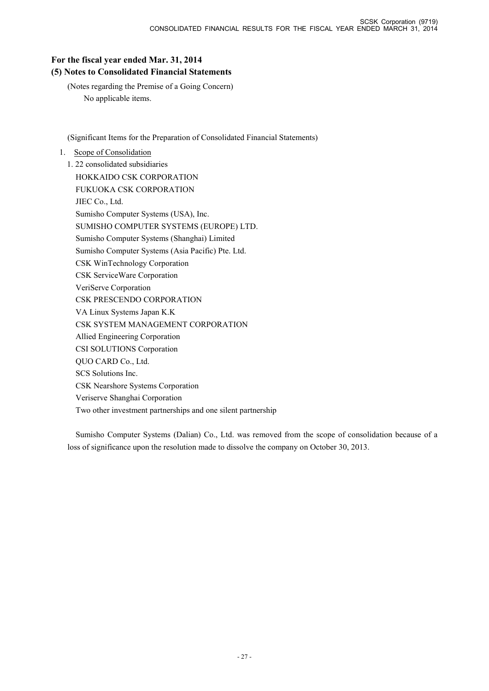# **For the fiscal year ended Mar. 31, 2014**

# **(5) Notes to Consolidated Financial Statements**

(Notes regarding the Premise of a Going Concern) No applicable items.

(Significant Items for the Preparation of Consolidated Financial Statements)

# 1. Scope of Consolidation

1. 22 consolidated subsidiaries HOKKAIDO CSK CORPORATION FUKUOKA CSK CORPORATION JIEC Co., Ltd. Sumisho Computer Systems (USA), Inc. SUMISHO COMPUTER SYSTEMS (EUROPE) LTD. Sumisho Computer Systems (Shanghai) Limited Sumisho Computer Systems (Asia Pacific) Pte. Ltd. CSK WinTechnology Corporation CSK ServiceWare Corporation VeriServe Corporation CSK PRESCENDO CORPORATION VA Linux Systems Japan K.K CSK SYSTEM MANAGEMENT CORPORATION Allied Engineering Corporation CSI SOLUTIONS Corporation QUO CARD Co., Ltd. SCS Solutions Inc. CSK Nearshore Systems Corporation Veriserve Shanghai Corporation Two other investment partnerships and one silent partnership

Sumisho Computer Systems (Dalian) Co., Ltd. was removed from the scope of consolidation because of a loss of significance upon the resolution made to dissolve the company on October 30, 2013.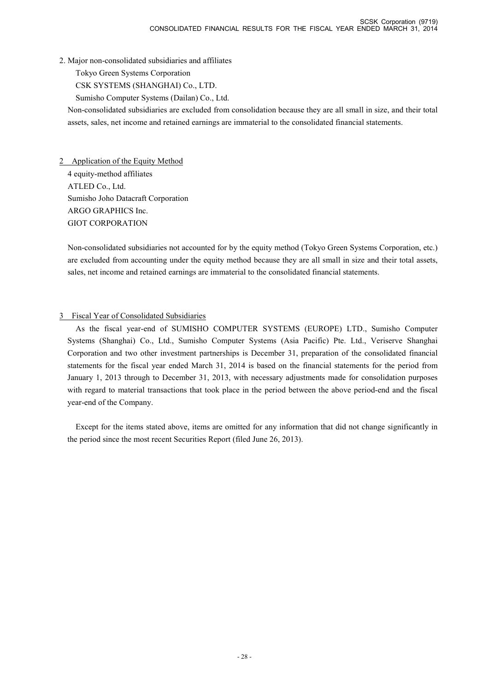2. Major non-consolidated subsidiaries and affiliates

Tokyo Green Systems Corporation

CSK SYSTEMS (SHANGHAI) Co., LTD.

Sumisho Computer Systems (Dailan) Co., Ltd.

Non-consolidated subsidiaries are excluded from consolidation because they are all small in size, and their total assets, sales, net income and retained earnings are immaterial to the consolidated financial statements.

2 Application of the Equity Method 4 equity-method affiliates ATLED Co., Ltd. Sumisho Joho Datacraft Corporation ARGO GRAPHICS Inc. GIOT CORPORATION

Non-consolidated subsidiaries not accounted for by the equity method (Tokyo Green Systems Corporation, etc.) are excluded from accounting under the equity method because they are all small in size and their total assets, sales, net income and retained earnings are immaterial to the consolidated financial statements.

# 3 Fiscal Year of Consolidated Subsidiaries

As the fiscal year-end of SUMISHO COMPUTER SYSTEMS (EUROPE) LTD., Sumisho Computer Systems (Shanghai) Co., Ltd., Sumisho Computer Systems (Asia Pacific) Pte. Ltd., Veriserve Shanghai Corporation and two other investment partnerships is December 31, preparation of the consolidated financial statements for the fiscal year ended March 31, 2014 is based on the financial statements for the period from January 1, 2013 through to December 31, 2013, with necessary adjustments made for consolidation purposes with regard to material transactions that took place in the period between the above period-end and the fiscal year-end of the Company.

Except for the items stated above, items are omitted for any information that did not change significantly in the period since the most recent Securities Report (filed June 26, 2013).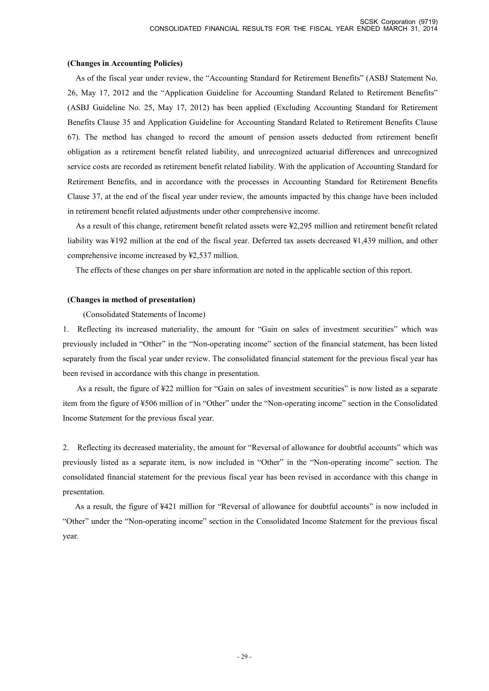#### **(Changes in Accounting Policies)**

As of the fiscal year under review, the "Accounting Standard for Retirement Benefits" (ASBJ Statement No. 26, May 17, 2012 and the "Application Guideline for Accounting Standard Related to Retirement Benefits" (ASBJ Guideline No. 25, May 17, 2012) has been applied (Excluding Accounting Standard for Retirement Benefits Clause 35 and Application Guideline for Accounting Standard Related to Retirement Benefits Clause 67). The method has changed to record the amount of pension assets deducted from retirement benefit obligation as a retirement benefit related liability, and unrecognized actuarial differences and unrecognized service costs are recorded as retirement benefit related liability. With the application of Accounting Standard for Retirement Benefits, and in accordance with the processes in Accounting Standard for Retirement Benefits Clause 37, at the end of the fiscal year under review, the amounts impacted by this change have been included in retirement benefit related adjustments under other comprehensive income.

As a result of this change, retirement benefit related assets were ¥2,295 million and retirement benefit related liability was ¥192 million at the end of the fiscal year. Deferred tax assets decreased ¥1,439 million, and other comprehensive income increased by ¥2,537 million.

The effects of these changes on per share information are noted in the applicable section of this report.

#### **(Changes in method of presentation)**

#### (Consolidated Statements of Income)

1. Reflecting its increased materiality, the amount for "Gain on sales of investment securities" which was previously included in "Other" in the "Non-operating income" section of the financial statement, has been listed separately from the fiscal year under review. The consolidated financial statement for the previous fiscal year has been revised in accordance with this change in presentation.

As a result, the figure of ¥22 million for "Gain on sales of investment securities" is now listed as a separate item from the figure of ¥506 million of in "Other" under the "Non-operating income" section in the Consolidated Income Statement for the previous fiscal year.

2. Reflecting its decreased materiality, the amount for "Reversal of allowance for doubtful accounts" which was previously listed as a separate item, is now included in "Other" in the "Non-operating income" section. The consolidated financial statement for the previous fiscal year has been revised in accordance with this change in presentation.

As a result, the figure of ¥421 million for "Reversal of allowance for doubtful accounts" is now included in "Other" under the "Non-operating income" section in the Consolidated Income Statement for the previous fiscal year.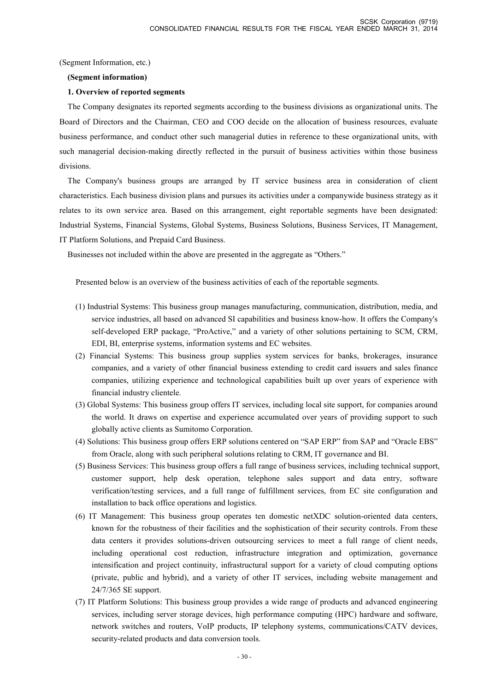(Segment Information, etc.)

#### **(Segment information)**

### **1. Overview of reported segments**

The Company designates its reported segments according to the business divisions as organizational units. The Board of Directors and the Chairman, CEO and COO decide on the allocation of business resources, evaluate business performance, and conduct other such managerial duties in reference to these organizational units, with such managerial decision-making directly reflected in the pursuit of business activities within those business divisions.

The Company's business groups are arranged by IT service business area in consideration of client characteristics. Each business division plans and pursues its activities under a companywide business strategy as it relates to its own service area. Based on this arrangement, eight reportable segments have been designated: Industrial Systems, Financial Systems, Global Systems, Business Solutions, Business Services, IT Management, IT Platform Solutions, and Prepaid Card Business.

Businesses not included within the above are presented in the aggregate as "Others."

Presented below is an overview of the business activities of each of the reportable segments.

- (1) Industrial Systems: This business group manages manufacturing, communication, distribution, media, and service industries, all based on advanced SI capabilities and business know-how. It offers the Company's self-developed ERP package, "ProActive," and a variety of other solutions pertaining to SCM, CRM, EDI, BI, enterprise systems, information systems and EC websites.
- (2) Financial Systems: This business group supplies system services for banks, brokerages, insurance companies, and a variety of other financial business extending to credit card issuers and sales finance companies, utilizing experience and technological capabilities built up over years of experience with financial industry clientele.
- (3) Global Systems: This business group offers IT services, including local site support, for companies around the world. It draws on expertise and experience accumulated over years of providing support to such globally active clients as Sumitomo Corporation.
- (4) Solutions: This business group offers ERP solutions centered on "SAP ERP" from SAP and "Oracle EBS" from Oracle, along with such peripheral solutions relating to CRM, IT governance and BI.
- (5) Business Services: This business group offers a full range of business services, including technical support, customer support, help desk operation, telephone sales support and data entry, software verification/testing services, and a full range of fulfillment services, from EC site configuration and installation to back office operations and logistics.
- (6) IT Management: This business group operates ten domestic netXDC solution-oriented data centers, known for the robustness of their facilities and the sophistication of their security controls. From these data centers it provides solutions-driven outsourcing services to meet a full range of client needs, including operational cost reduction, infrastructure integration and optimization, governance intensification and project continuity, infrastructural support for a variety of cloud computing options (private, public and hybrid), and a variety of other IT services, including website management and 24/7/365 SE support.
- (7) IT Platform Solutions: This business group provides a wide range of products and advanced engineering services, including server storage devices, high performance computing (HPC) hardware and software, network switches and routers, VoIP products, IP telephony systems, communications/CATV devices, security-related products and data conversion tools.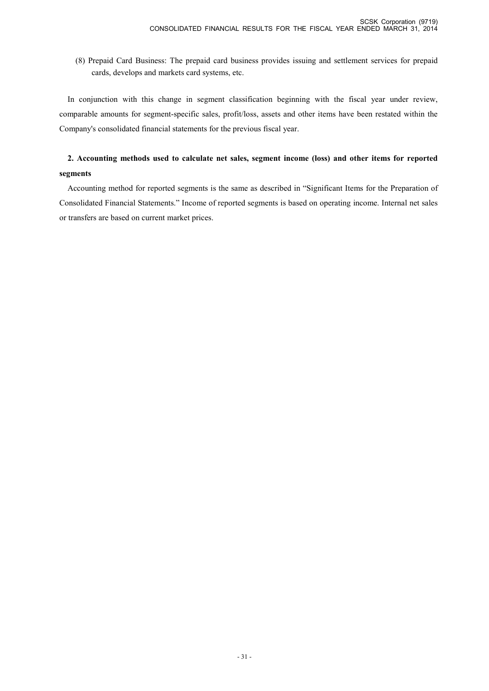(8) Prepaid Card Business: The prepaid card business provides issuing and settlement services for prepaid cards, develops and markets card systems, etc.

In conjunction with this change in segment classification beginning with the fiscal year under review, comparable amounts for segment-specific sales, profit/loss, assets and other items have been restated within the Company's consolidated financial statements for the previous fiscal year.

# **2. Accounting methods used to calculate net sales, segment income (loss) and other items for reported segments**

Accounting method for reported segments is the same as described in "Significant Items for the Preparation of Consolidated Financial Statements." Income of reported segments is based on operating income. Internal net sales or transfers are based on current market prices.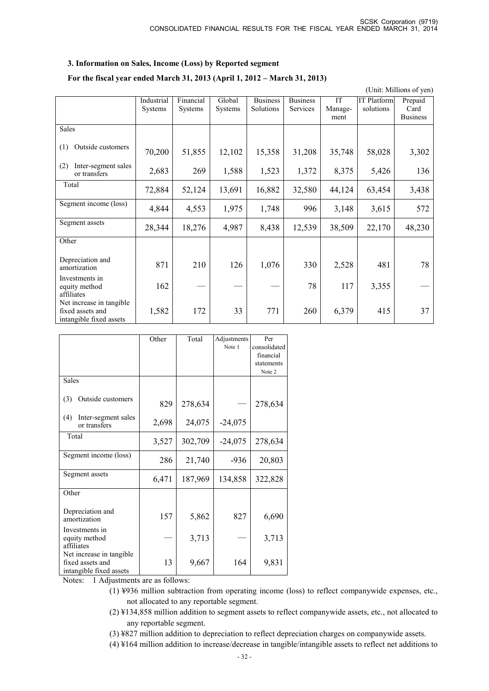### **3. Information on Sales, Income (Loss) by Reported segment**

### **For the fiscal year ended March 31, 2013 (April 1, 2012 – March 31, 2013)**

(Unit: Millions of yen)

|                                                                         | Industrial<br>Systems | Financial<br>Systems | Global<br>Systems | <b>Business</b><br>Solutions | <b>Business</b><br>Services | IT<br>Manage-<br>ment | <b>IT Platform</b><br>solutions | Prepaid<br>Card<br><b>Business</b> |
|-------------------------------------------------------------------------|-----------------------|----------------------|-------------------|------------------------------|-----------------------------|-----------------------|---------------------------------|------------------------------------|
| <b>Sales</b>                                                            |                       |                      |                   |                              |                             |                       |                                 |                                    |
| Outside customers<br>(1)                                                | 70,200                | 51,855               | 12,102            | 15,358                       | 31,208                      | 35,748                | 58,028                          | 3,302                              |
| Inter-segment sales<br>(2)<br>or transfers                              | 2,683                 | 269                  | 1,588             | 1,523                        | 1,372                       | 8,375                 | 5,426                           | 136                                |
| Total                                                                   | 72,884                | 52,124               | 13,691            | 16,882                       | 32,580                      | 44,124                | 63,454                          | 3,438                              |
| Segment income (loss)                                                   | 4,844                 | 4,553                | 1,975             | 1,748                        | 996                         | 3,148                 | 3,615                           | 572                                |
| Segment assets                                                          | 28,344                | 18,276               | 4,987             | 8,438                        | 12,539                      | 38,509                | 22,170                          | 48,230                             |
| Other                                                                   |                       |                      |                   |                              |                             |                       |                                 |                                    |
| Depreciation and<br>amortization                                        | 871                   | 210                  | 126               | 1,076                        | 330                         | 2,528                 | 481                             | 78                                 |
| Investments in<br>equity method<br>affiliates                           | 162                   |                      |                   |                              | 78                          | 117                   | 3,355                           |                                    |
| Net increase in tangible<br>fixed assets and<br>intangible fixed assets | 1,582                 | 172                  | 33                | 771                          | 260                         | 6,379                 | 415                             | 37                                 |

|                                                                         | Other | Total   | Adjustments | Per          |
|-------------------------------------------------------------------------|-------|---------|-------------|--------------|
|                                                                         |       |         | Note 1      | consolidated |
|                                                                         |       |         |             | financial    |
|                                                                         |       |         |             | statements   |
|                                                                         |       |         |             | Note 2       |
| <b>Sales</b>                                                            |       |         |             |              |
| Outside customers<br>(3)                                                | 829   | 278,634 |             | 278,634      |
| Inter-segment sales<br>(4)<br>or transfers                              | 2,698 | 24,075  | $-24,075$   |              |
| Total                                                                   | 3,527 | 302,709 | $-24,075$   | 278,634      |
| Segment income (loss)                                                   | 286   | 21,740  | $-936$      | 20,803       |
| Segment assets                                                          | 6,471 | 187,969 | 134,858     | 322,828      |
| Other                                                                   |       |         |             |              |
| Depreciation and<br>amortization                                        | 157   | 5,862   | 827         | 6,690        |
| Investments in<br>equity method<br>affiliates                           |       | 3,713   |             | 3,713        |
| Net increase in tangible<br>fixed assets and<br>intangible fixed assets | 13    | 9,667   | 164         | 9,831        |

Notes: 1 Adjustments are as follows:

- (1) ¥936 million subtraction from operating income (loss) to reflect companywide expenses, etc., not allocated to any reportable segment.
- (2) ¥134,858 million addition to segment assets to reflect companywide assets, etc., not allocated to any reportable segment.
- (3) ¥827 million addition to depreciation to reflect depreciation charges on companywide assets.
- (4) ¥164 million addition to increase/decrease in tangible/intangible assets to reflect net additions to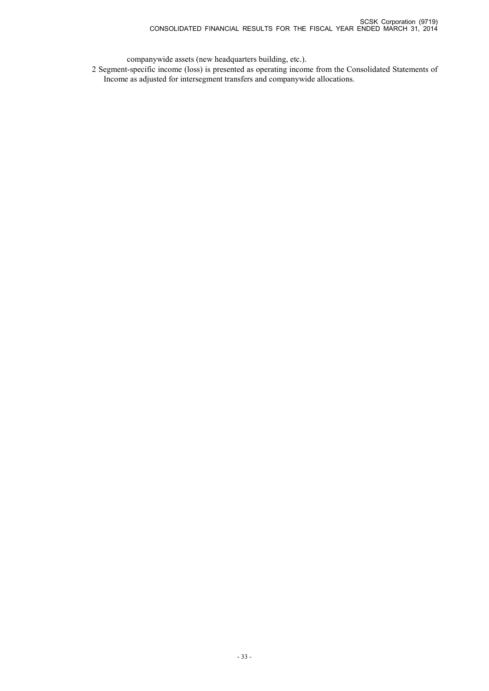companywide assets (new headquarters building, etc.).

2 Segment-specific income (loss) is presented as operating income from the Consolidated Statements of Income as adjusted for intersegment transfers and companywide allocations.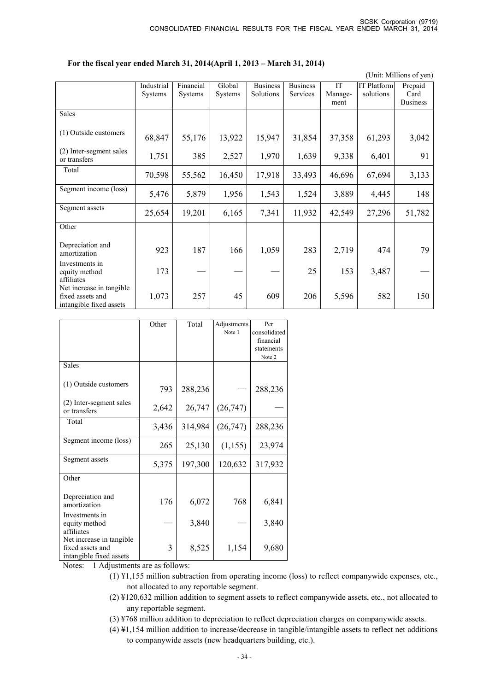### **For the fiscal year ended March 31, 2014(April 1, 2013 – March 31, 2014)**

(Unit: Millions of yen)

|                                                                         | Industrial<br>Systems | Financial<br>Systems | Global<br>Systems | <b>Business</b><br>Solutions | <b>Business</b><br>Services | IT<br>Manage-<br>ment | <b>IT Platform</b><br>solutions | Prepaid<br>Card<br><b>Business</b> |
|-------------------------------------------------------------------------|-----------------------|----------------------|-------------------|------------------------------|-----------------------------|-----------------------|---------------------------------|------------------------------------|
| Sales                                                                   |                       |                      |                   |                              |                             |                       |                                 |                                    |
| (1) Outside customers                                                   | 68,847                | 55,176               | 13,922            | 15,947                       | 31,854                      | 37,358                | 61,293                          | 3,042                              |
| (2) Inter-segment sales<br>or transfers                                 | 1,751                 | 385                  | 2,527             | 1,970                        | 1,639                       | 9,338                 | 6,401                           | 91                                 |
| Total                                                                   | 70,598                | 55,562               | 16,450            | 17,918                       | 33,493                      | 46,696                | 67,694                          | 3,133                              |
| Segment income (loss)                                                   | 5,476                 | 5,879                | 1,956             | 1,543                        | 1,524                       | 3,889                 | 4,445                           | 148                                |
| Segment assets                                                          | 25,654                | 19,201               | 6,165             | 7,341                        | 11,932                      | 42,549                | 27,296                          | 51,782                             |
| Other                                                                   |                       |                      |                   |                              |                             |                       |                                 |                                    |
| Depreciation and<br>amortization                                        | 923                   | 187                  | 166               | 1,059                        | 283                         | 2,719                 | 474                             | 79                                 |
| Investments in<br>equity method<br>affiliates                           | 173                   |                      |                   |                              | 25                          | 153                   | 3,487                           |                                    |
| Net increase in tangible<br>fixed assets and<br>intangible fixed assets | 1,073                 | 257                  | 45                | 609                          | 206                         | 5,596                 | 582                             | 150                                |

|                                                                                                  | Other          | Total   | Adjustments | Per          |
|--------------------------------------------------------------------------------------------------|----------------|---------|-------------|--------------|
|                                                                                                  |                |         | Note 1      | consolidated |
|                                                                                                  |                |         |             | financial    |
|                                                                                                  |                |         |             | statements   |
|                                                                                                  |                |         |             | Note 2       |
| <b>Sales</b>                                                                                     |                |         |             |              |
| (1) Outside customers                                                                            | 793            | 288,236 |             | 288,236      |
| (2) Inter-segment sales<br>or transfers                                                          | 2,642          | 26,747  | (26,747)    |              |
| Total                                                                                            | 3,436          | 314,984 | (26, 747)   | 288,236      |
| Segment income (loss)                                                                            | 265            | 25,130  | (1, 155)    | 23,974       |
| Segment assets                                                                                   | 5,375          | 197,300 | 120,632     | 317,932      |
| Other                                                                                            |                |         |             |              |
| Depreciation and<br>amortization                                                                 | 176            | 6,072   | 768         | 6,841        |
| Investments in<br>equity method<br>affiliates                                                    |                | 3,840   |             | 3,840        |
| Net increase in tangible<br>fixed assets and<br>intangible fixed assets<br><b>NT</b> 1 . A . 11. | 3<br>$C_{-}11$ | 8,525   | 1,154       | 9,680        |

Notes: 1 Adjustments are as follows:

- (1) ¥1,155 million subtraction from operating income (loss) to reflect companywide expenses, etc., not allocated to any reportable segment.
- (2) ¥120,632 million addition to segment assets to reflect companywide assets, etc., not allocated to any reportable segment.
- (3) ¥768 million addition to depreciation to reflect depreciation charges on companywide assets.
- (4) ¥1,154 million addition to increase/decrease in tangible/intangible assets to reflect net additions to companywide assets (new headquarters building, etc.).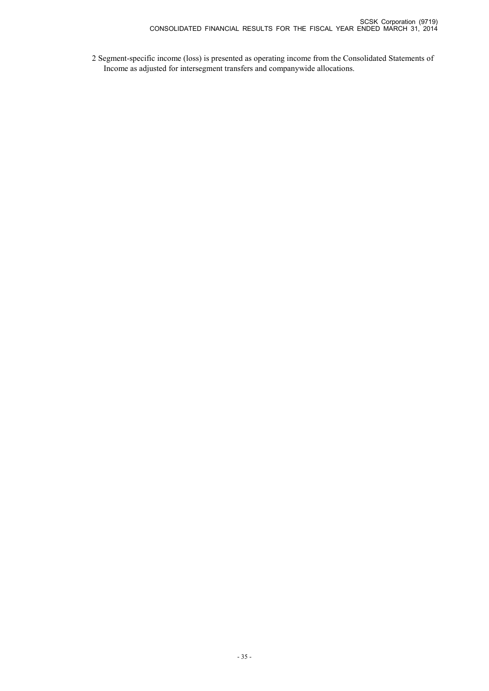2 Segment-specific income (loss) is presented as operating income from the Consolidated Statements of Income as adjusted for intersegment transfers and companywide allocations.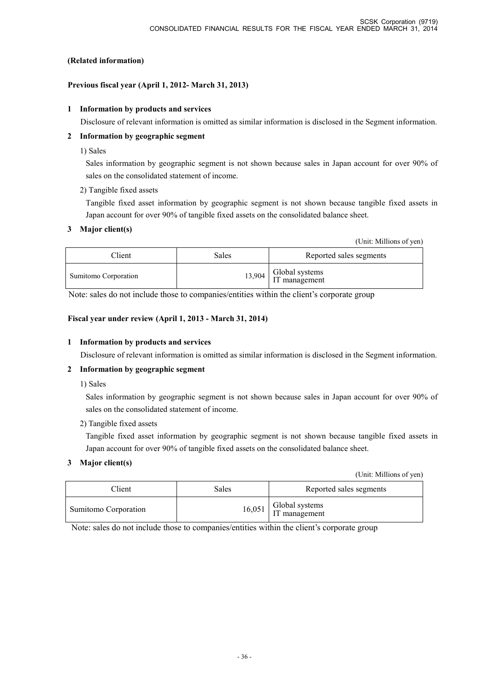# **(Related information)**

# **Previous fiscal year (April 1, 2012- March 31, 2013)**

# **1 Information by products and services**

Disclosure of relevant information is omitted as similar information is disclosed in the Segment information.

# **2 Information by geographic segment**

1) Sales

Sales information by geographic segment is not shown because sales in Japan account for over 90% of sales on the consolidated statement of income.

# 2) Tangible fixed assets

Tangible fixed asset information by geographic segment is not shown because tangible fixed assets in Japan account for over 90% of tangible fixed assets on the consolidated balance sheet.

# **3 Major client(s)**

(Unit: Millions of yen)

| Client               | Sales | Reported sales segments                  |
|----------------------|-------|------------------------------------------|
| Sumitomo Corporation |       | $13,904$ Global systems<br>IT management |

Note: sales do not include those to companies/entities within the client's corporate group

# **Fiscal year under review (April 1, 2013 - March 31, 2014)**

# **1 Information by products and services**

Disclosure of relevant information is omitted as similar information is disclosed in the Segment information.

# **2 Information by geographic segment**

1) Sales

Sales information by geographic segment is not shown because sales in Japan account for over 90% of sales on the consolidated statement of income.

# 2) Tangible fixed assets

Tangible fixed asset information by geographic segment is not shown because tangible fixed assets in Japan account for over 90% of tangible fixed assets on the consolidated balance sheet.

# **3 Major client(s)**

(Unit: Millions of yen)

| Client               | Sales | Reported sales segments                  |
|----------------------|-------|------------------------------------------|
| Sumitomo Corporation |       | $16,051$ Global systems<br>IT management |

Note: sales do not include those to companies/entities within the client's corporate group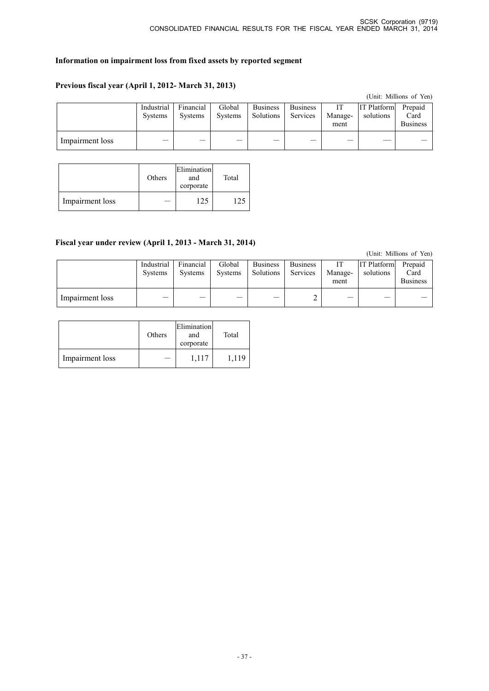# **Information on impairment loss from fixed assets by reported segment**

### **Previous fiscal year (April 1, 2012- March 31, 2013)**

|                 |                              |                             |                          |                              |                             |                 |                                 | (Unit: Millions of Yen)            |
|-----------------|------------------------------|-----------------------------|--------------------------|------------------------------|-----------------------------|-----------------|---------------------------------|------------------------------------|
|                 | Industrial<br><b>Systems</b> | Financial<br><b>Systems</b> | Global<br><b>Systems</b> | <b>Business</b><br>Solutions | <b>Business</b><br>Services | Manage-<br>ment | <b>IT Platform</b><br>solutions | Prepaid<br>Card<br><b>Business</b> |
| Impairment loss |                              |                             |                          |                              |                             |                 |                                 |                                    |

|                 | Others | Elimination<br>and<br>corporate | Total |
|-----------------|--------|---------------------------------|-------|
| Impairment loss |        | 22                              |       |

### **Fiscal year under review (April 1, 2013 - March 31, 2014)**

(Unit: Millions of Yen)

|                 | Industrial<br><b>Systems</b> | Financial<br><b>Systems</b> | Global<br>Systems | <b>Business</b><br>Solutions | <b>Business</b><br>Services | IТ<br>Manage-<br>ment | <b>IT Platform</b><br>solutions | Prepaid<br>Card<br><b>Business</b> |
|-----------------|------------------------------|-----------------------------|-------------------|------------------------------|-----------------------------|-----------------------|---------------------------------|------------------------------------|
| Impairment loss |                              | $\overline{\phantom{a}}$    | __                |                              | ∸                           | __                    | —                               |                                    |

|                 | Others | Elimination<br>and<br>corporate | Total |
|-----------------|--------|---------------------------------|-------|
| Impairment loss |        | 1,117                           | 1,119 |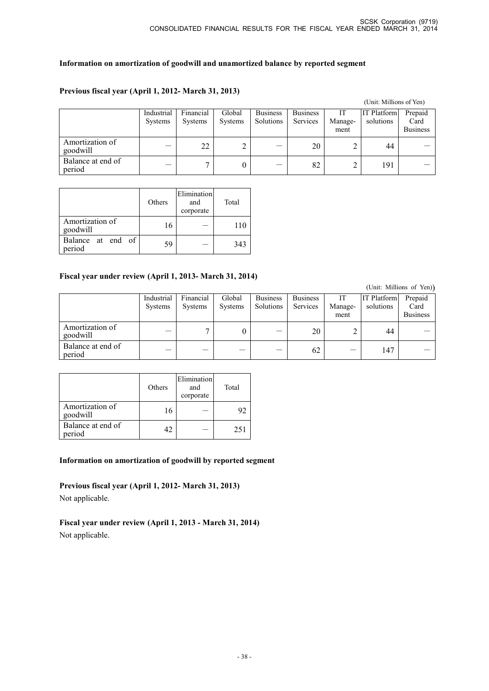# **Information on amortization of goodwill and unamortized balance by reported segment**

# **Previous fiscal year (April 1, 2012- March 31, 2013)**

|                             |                       |                             |                   |                                     |                             |                       | (Unit: Millions of Yen)         |                                    |
|-----------------------------|-----------------------|-----------------------------|-------------------|-------------------------------------|-----------------------------|-----------------------|---------------------------------|------------------------------------|
|                             | Industrial<br>Systems | Financial<br><b>Systems</b> | Global<br>Systems | <b>Business</b><br><b>Solutions</b> | <b>Business</b><br>Services | IT<br>Manage-<br>ment | <b>IT Platform</b><br>solutions | Prepaid<br>Card<br><b>Business</b> |
| Amortization of<br>goodwill |                       | 22                          |                   |                                     | 20                          |                       | 44                              |                                    |
| Balance at end of<br>period |                       |                             |                   |                                     | 82                          |                       | 191                             |                                    |

|                             | Others | Elimination<br>and<br>corporate | Total |
|-----------------------------|--------|---------------------------------|-------|
| Amortization of<br>goodwill | 16     |                                 | 110   |
| Balance at end of<br>period | 59     |                                 | 343   |

# **Fiscal year under review (April 1, 2013- March 31, 2014)**

|                             |                              |                             |                   |                              |                             |                       |                                 | (Unit: Millions of Yen))           |
|-----------------------------|------------------------------|-----------------------------|-------------------|------------------------------|-----------------------------|-----------------------|---------------------------------|------------------------------------|
|                             | Industrial<br><b>Systems</b> | Financial<br><b>Systems</b> | Global<br>Systems | <b>Business</b><br>Solutions | <b>Business</b><br>Services | IT<br>Manage-<br>ment | <b>IT Platform</b><br>solutions | Prepaid<br>Card<br><b>Business</b> |
| Amortization of<br>goodwill |                              |                             |                   |                              | 20                          |                       | 44                              |                                    |
| Balance at end of<br>period |                              |                             |                   |                              | 62                          |                       | 147                             |                                    |

|                             | Others | Elimination<br>and<br>corporate | Total |
|-----------------------------|--------|---------------------------------|-------|
| Amortization of<br>goodwill | 16     |                                 |       |
| Balance at end of<br>period | 42     |                                 | 251   |

### **Information on amortization of goodwill by reported segment**

**Previous fiscal year (April 1, 2012- March 31, 2013)** Not applicable.

# **Fiscal year under review (April 1, 2013 - March 31, 2014)** Not applicable.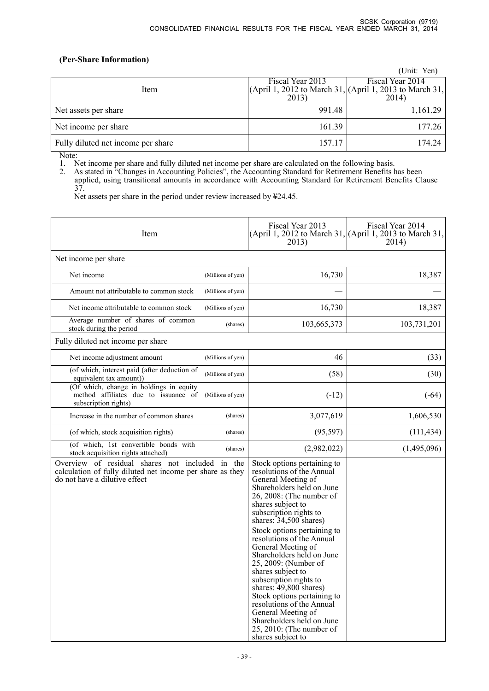# **(Per-Share Information)**

|                                    |                  | (Unit: Yen)                                             |
|------------------------------------|------------------|---------------------------------------------------------|
|                                    | Fiscal Year 2013 | Fiscal Year 2014                                        |
| Item                               |                  | (April 1, 2012 to March 31, (April 1, 2013 to March 31, |
|                                    | 2013)            | 2014)                                                   |
| Net assets per share               | 991.48           | 1,161.29                                                |
| Net income per share               | 161.39           | 177.26                                                  |
| Fully diluted net income per share | 157.17           | 174.24                                                  |

Note:

1. Net income per share and fully diluted net income per share are calculated on the following basis.

2. As stated in "Changes in Accounting Policies", the Accounting Standard for Retirement Benefits has been applied, using transitional amounts in accordance with Accounting Standard for Retirement Benefits Clause 37.

Net assets per share in the period under review increased by ¥24.45.

| Item                                                                                                                                          |          | Fiscal Year 2013<br>2013)                                                                                                                                                                                                                                                                                                                                                                                                                                                                                                                                                                        | Fiscal Year 2014<br>(April 1, 2012 to March 31, (April 1, 2013 to March 31,<br>2014) |
|-----------------------------------------------------------------------------------------------------------------------------------------------|----------|--------------------------------------------------------------------------------------------------------------------------------------------------------------------------------------------------------------------------------------------------------------------------------------------------------------------------------------------------------------------------------------------------------------------------------------------------------------------------------------------------------------------------------------------------------------------------------------------------|--------------------------------------------------------------------------------------|
| Net income per share                                                                                                                          |          |                                                                                                                                                                                                                                                                                                                                                                                                                                                                                                                                                                                                  |                                                                                      |
| Net income<br>(Millions of yen)                                                                                                               |          | 16,730                                                                                                                                                                                                                                                                                                                                                                                                                                                                                                                                                                                           | 18,387                                                                               |
| Amount not attributable to common stock<br>(Millions of yen)                                                                                  |          |                                                                                                                                                                                                                                                                                                                                                                                                                                                                                                                                                                                                  |                                                                                      |
| Net income attributable to common stock<br>(Millions of yen)                                                                                  |          | 16,730                                                                                                                                                                                                                                                                                                                                                                                                                                                                                                                                                                                           | 18,387                                                                               |
| Average number of shares of common<br>stock during the period                                                                                 | (shares) | 103,665,373                                                                                                                                                                                                                                                                                                                                                                                                                                                                                                                                                                                      | 103,731,201                                                                          |
| Fully diluted net income per share                                                                                                            |          |                                                                                                                                                                                                                                                                                                                                                                                                                                                                                                                                                                                                  |                                                                                      |
| Net income adjustment amount<br>(Millions of yen)                                                                                             |          | 46                                                                                                                                                                                                                                                                                                                                                                                                                                                                                                                                                                                               | (33)                                                                                 |
| (of which, interest paid (after deduction of<br>(Millions of yen)<br>equivalent tax amount))                                                  |          | (58)                                                                                                                                                                                                                                                                                                                                                                                                                                                                                                                                                                                             | (30)                                                                                 |
| (Of which, change in holdings in equity<br>method affiliates due to issuance of<br>(Millions of yen)<br>subscription rights)                  |          | $(-12)$                                                                                                                                                                                                                                                                                                                                                                                                                                                                                                                                                                                          | $(-64)$                                                                              |
| Increase in the number of common shares                                                                                                       | (shares) | 3,077,619                                                                                                                                                                                                                                                                                                                                                                                                                                                                                                                                                                                        | 1,606,530                                                                            |
| (of which, stock acquisition rights)                                                                                                          | (shares) | (95, 597)                                                                                                                                                                                                                                                                                                                                                                                                                                                                                                                                                                                        | (111, 434)                                                                           |
| (of which, 1st convertible bonds with<br>stock acquisition rights attached)                                                                   | (shares) | (2,982,022)                                                                                                                                                                                                                                                                                                                                                                                                                                                                                                                                                                                      | (1,495,096)                                                                          |
| Overview of residual shares not included in the<br>calculation of fully diluted net income per share as they<br>do not have a dilutive effect |          | Stock options pertaining to<br>resolutions of the Annual<br>General Meeting of<br>Shareholders held on June<br>26, 2008: (The number of<br>shares subject to<br>subscription rights to<br>shares: 34,500 shares)<br>Stock options pertaining to<br>resolutions of the Annual<br>General Meeting of<br>Shareholders held on June<br>25, 2009: (Number of<br>shares subject to<br>subscription rights to<br>shares: 49,800 shares)<br>Stock options pertaining to<br>resolutions of the Annual<br>General Meeting of<br>Shareholders held on June<br>25, 2010: (The number of<br>shares subject to |                                                                                      |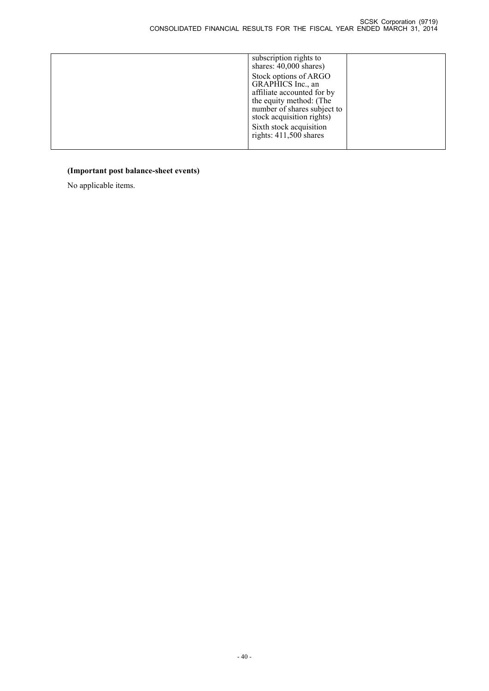| subscription rights to<br>shares: 40,000 shares)                                                                                                                |  |
|-----------------------------------------------------------------------------------------------------------------------------------------------------------------|--|
| Stock options of ARGO<br>GRAPHICS Inc., an<br>affiliate accounted for by<br>the equity method: (The<br>number of shares subject to<br>stock acquisition rights) |  |
| Sixth stock acquisition<br>rights: $411,500$ shares                                                                                                             |  |

# **(Important post balance-sheet events)**

No applicable items.